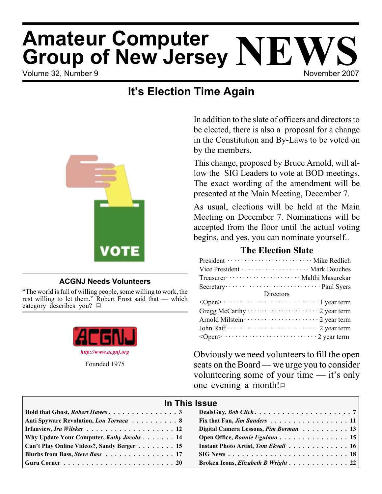# **Amateur Computer<br>Group of New Jersey NEWS**<br>Volume 32, Number 9 **Amateur Computer**

## **It's Election Time Again**



## **ACGNJ Needs Volunteers**

"The world is full of willing people, some willing to work, the rest willing to let them." Robert Frost said that — which category describes you?



In addition to the slate of officers and directors to be elected, there is also a proposal for a change in the Constitution and By-Laws to be voted on by the members.

This change, proposed by Bruce Arnold, will allow the SIG Leaders to vote at BOD meetings. The exact wording of the amendment will be presented at the Main Meeting, December 7.

As usual, elections will be held at the Main Meeting on December 7. Nominations will be accepted from the floor until the actual voting begins, and yes, you can nominate yourself..

## **The Election Slate**

| President ································ Mike Redlich                |
|------------------------------------------------------------------------|
| Vice President ······················ Mark Douches                     |
| Treasurer ························· Malthi Masurekar                   |
|                                                                        |
| <b>Directors</b>                                                       |
|                                                                        |
| Gregg McCarthy $\cdots \cdots \cdots \cdots \cdots \cdots 2$ year term |
|                                                                        |
|                                                                        |
|                                                                        |

Obviously we need volunteers to fill the open seats on the Board — we urge you to consider volunteering some of your time — it's only one evening a month!

| In This Issue                              |                                       |  |  |  |
|--------------------------------------------|---------------------------------------|--|--|--|
|                                            |                                       |  |  |  |
| Anti Spyware Revolution, Lou Torraca 8     | Fix that Fan, Jim Sanders 11          |  |  |  |
| Irfanview, Ira Wilsker 12                  | Digital Camera Lessons, Pim Borman 13 |  |  |  |
| Why Update Your Computer, Kathy Jacobs 14  |                                       |  |  |  |
| Can't Play Online Videos?, Sandy Berger 15 | Instant Photo Artist, Tom Ekvall 16   |  |  |  |
| Blurbs from Bass, Steve Bass 17            |                                       |  |  |  |
|                                            | Broken Icons, Elizabeth B Wright 22   |  |  |  |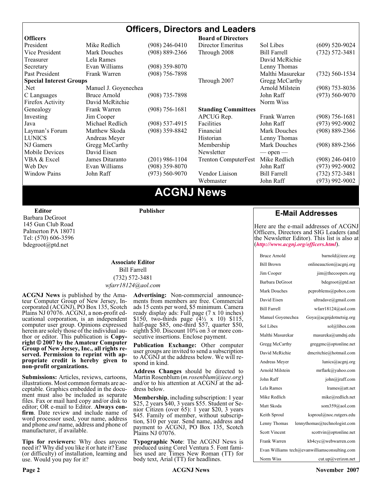## **Officers, Directors and Leaders**

| <b>Officers</b>                |                      |                    | <b>Board of Directors</b>   |                     |                    |
|--------------------------------|----------------------|--------------------|-----------------------------|---------------------|--------------------|
| President                      | Mike Redlich         | $(908)$ 246-0410   | Director Emeritus           | Sol Libes           | $(609)$ 520-9024   |
| Vice President                 | <b>Mark Douches</b>  | (908) 889-2366     | Through 2008                | <b>Bill Farrell</b> | $(732) 572 - 3481$ |
| Treasurer                      | Lela Rames           |                    |                             | David McRichie      |                    |
| Secretary                      | Evan Williams        | $(908)$ 359-8070   |                             | Lenny Thomas        |                    |
| Past President                 | Frank Warren         | (908) 756-7898     |                             | Malthi Masurekar    | $(732)$ 560-1534   |
| <b>Special Interest Groups</b> |                      |                    | Through 2007                | Gregg McCarthy      |                    |
| Net.                           | Manuel J. Goyenechea |                    |                             | Arnold Milstein     | $(908)$ 753-8036   |
| C Languages                    | Bruce Arnold         | $(908)$ 735-7898   |                             | John Raff           | $(973) 560 - 9070$ |
| Firefox Activity               | David McRitchie      |                    |                             | Norm Wiss           |                    |
| Genealogy                      | Frank Warren         | $(908) 756 - 1681$ | <b>Standing Committees</b>  |                     |                    |
| Investing                      | Jim Cooper           |                    | APCUG Rep.                  | Frank Warren        | $(908)$ 756-1681   |
| Java                           | Michael Redlich      | $(908)$ 537-4915   | Facilities                  | John Raff           | $(973)$ 992-9002   |
| Layman's Forum                 | Matthew Skoda        | $(908)$ 359-8842   | Financial                   | <b>Mark Douches</b> | $(908) 889 - 2366$ |
| <b>LUNICS</b>                  | Andreas Meyer        |                    | Historian                   | Lenny Thomas        |                    |
| NJ Gamers                      | Gregg McCarthy       |                    | Membership                  | <b>Mark Douches</b> | $(908) 889 - 2366$ |
| Mobile Devices                 | David Eisen          |                    | Newsletter                  | $-$ open $-$        |                    |
| VBA & Excel                    | James Ditaranto      | (201) 986-1104     | <b>Trenton ComputerFest</b> | Mike Redlich        | (908) 246-0410     |
| Web Dev                        | Evan Williams        | (908) 359-8070     |                             | John Raff           | $(973)$ 992-9002   |
| <b>Window Pains</b>            | John Raff            | $(973) 560 - 9070$ | Vendor Liaison              | <b>Bill Farrell</b> | $(732) 572 - 3481$ |
|                                |                      |                    | Webmaster                   | John Raff           | (973) 992-9002     |
|                                |                      |                    |                             |                     |                    |

## **ACGNJ News**

**Editor**

Barbara DeGroot 145 Gun Club Road Palmerton PA 18071 Tel: (570) 606-3596 bdegroot@ptd.net

## **Associate Editor** Bill Farrell

**Publisher**

(732) 572-3481 *wfarr18124@aol.com*

**ACGNJ News** is published by the Amateur Computer Group of New Jersey, Incorporated (ACGNJ), PO Box 135, Scotch Plains NJ 07076. ACGNJ, a non-profit educational corporation, is an independent computer user group. Opinions expressed<br>herein are solely those of the individual author or editor. This publication is **Copy-**<br>right © 2007 by the Amateur Computer<br>Group of New Jersey, Inc., all rights re-**Group of New Jersey, Inc., all rights re- served. Permission to reprint with ap- propriate credit is hereby given to non-profit organizations.**

**Submissions:** Articles, reviews, cartoons, illustrations. Most common formats are acceptable. Graphics embedded in the docu-<br>ment must also be included as separate files. Fax or mail hard copy and/or disk to editor: OR e-mail to Editor. **Always con**firm. Date review and include name of word processor used, your name, address and phone *and* name, address and phone of manufacturer, if available.

**Tips for reviewers:** Why does anyone need it? Why did you like it or hate it? Ease (or difficulty) of installation, learning and use. Would you pay for it?

**Advertising:** Non-commercial announce- ments from members are free. Commercial ads 15 cents per word, \$5 minimum. Camera ready display ads: Full page (7 x 10 inches) \$150, two-thirds page  $(4\frac{1}{2} \times 10)$  \$115, half-page \$85, one-third \$57, quarter \$50, eighth \$30. Discount 10% on 3 or more con- secutive insertions. Enclose payment.

**Publication Exchange:** Other computer user groups are invited to send a subscription to ACGNJ at the address below. We will re- spond in kind.

**Address Changes** should be directed to Martin Rosenblum (*m.rosenblum@ieee.org*) and/or to his attention at ACGNJ at the ad- dress below.

**Membership**, including subscription: 1 year \$25, 2 years \$40, 3 years \$55. Student or Senior Citizen (over 65): 1 year \$20, 3 years \$45. Family of member, without subscription, \$10 per year. Send name, address and payment to ACGNJ, PO Box 135, Scotch Plains NJ 07076.

**Typographic Note**: The ACGNJ News is produced using Corel Ventura 5. Font fami- lies used are Times New Roman (TT) for body text, Arial (TT) for headlines.

## **E-Mail Addresses**

Here are the e-mail addresses of ACGNJ Officers, Directors and SIG Leaders (and the Newsletter Editor). This list is also at (*<http://www.acgnj.org/officers.html>*).

| <b>Bruce Arnold</b>  | $\text{barnold}(a)$ ieee.org                  |
|----------------------|-----------------------------------------------|
| <b>Bill Brown</b>    | onlineauction@acgnj.org                       |
| Jim Cooper           | jim@thecoopers.org                            |
| Barbara DeGroot      | bdegroot@ptd.net                              |
| Mark Douches         | pcproblems@pobox.com                          |
| David Eisen          | ultradave@gmail.com                           |
| <b>Bill Farrell</b>  | wfarr18124@aol.com                            |
| Manuel Goyenechea    | Goya@acgnjdotnetsig.org                       |
| Sol Libes            | sol@libes.com                                 |
| Malthi Masurekar     | masureka@umdnj.edu                            |
| Gregg McCarthy       | greggmc@optonline.net                         |
| David McRichie       | dmcritchie@hotmail.com                        |
| Andreas Meyer        | lunics@acgnj.org                              |
| Arnold Milstein      | mrflark@yahoo.com                             |
| John Raff            | john@jraff.com                                |
| Lela Rames           | lrames@att.net                                |
| Mike Redlich         | mike@redlich.net                              |
| Matt Skoda           | som359@aol.com                                |
| Keith Sproul         | ksproul@noc.rutgers.edu                       |
| Lenny Thomas         | lennythomas@technologist.com                  |
| <b>Scott Vincent</b> | scottvin@optonline.net                        |
| Frank Warren         | kb4cyc@webwarren.com                          |
|                      | Evan Williams tech@evanwilliamsconsulting.com |
| Norm Wiss            | cut.up@verizon.net                            |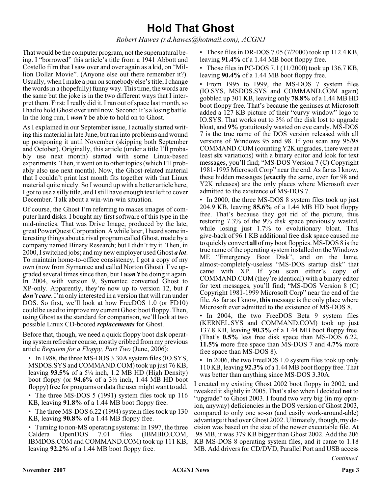## **Hold That Ghost**

*Robert Hawes (r.d.hawes@hotmail.com), ACGNJ*

That would be the computer program, not the supernatural being. I "borrowed" this article's title from a 1941 Abbott and Costello film that I saw over and over again as a kid, on "Million Dollar Movie". (Anyone else out there remember it?). Usually, when I make a pun on somebody else's title, I change the words in a (hopefully) funny way. This time, the words are the same but the joke is in the two different ways that I interpret them. First: I really did it. I ran out of space last month, so I had to hold Ghost over until now. Second: It's a losing battle. In the long run, I *won't* be able to hold on to Ghost.

As I explained in our September issue, I actually started writing this material in late June, but ran into problems and wound up postponing it until November (skipping both September and October). Originally, this article (under a title I'll probably use next month) started with some Linux-based experiments. Then, it went on to other topics (which I'll probably also use next month). Now, the Ghost-related material that I couldn't print last month fits together with that Linux material quite nicely. So I wound up with a better article here, I got to use a silly title, and I still have enough text left to cover December. Talk about a win-win-win situation.

Of course, the Ghost I'm referring to makes images of computer hard disks. I bought my first software of this type in the mid-nineties. That was Drive Image, produced by the late, great PowerQuest Corporation. A while later, I heard some interesting things about a rival program called Ghost, made by a company named Binary Research; but I didn't try it. Then, in 2000, I switched jobs; and my new employer used Ghost *a lot*. To maintain home-to-office consistency, I got a copy of my own (now from Symantec and called Norton Ghost). I've upgraded several times since then, but I *won't* be doing it again. In 2004, with version 9, Symantec converted Ghost to XP-only. Apparently, they're now up to version 12, but *I don't care*. I'm only interested in a version that will run under DOS. So first, we'll look at how FreeDOS 1.0 (or FD10) could be used to improve my current Ghost boot floppy. Then, using Ghost as the standard for comparison, we'll look at two possible Linux CD-booted *replacements* for Ghost.

Before that, though, we need a quick floppy boot disk operating system refresher course, mostly cribbed from my previous article *Requiem for a Floppy, Part Two* (June, 2006):

• In 1988, the three MS-DOS 3.30A system files (IO.SYS, MSDOS.SYS and COMMAND.COM) took up just 76 KB, leaving **93.5%** of a 5¼ inch, 1.2 MB HD (High Density) boot floppy (or **94.6%** of a 3½ inch, 1.44 MB HD boot floppy) free for programs or data the user might want to add.

• The three MS-DOS 5 (1991) system files took up 116 KB, leaving **91.8%** of a 1.44 MB boot floppy free.

• The three MS-DOS 6.22 (1994) system files took up 130 KB, leaving **90.8%** of a 1.44 MB floppy free.

• Turning to non-MS operating systems: In 1997, the three Caldera OpenDOS 7.01 files (IBMBIO.COM, IBMDOS.COM and COMMAND.COM) took up 111 KB, leaving **92.2%** of a 1.44 MB boot floppy free.

• Those files in DR-DOS 7.05 (7/2000) took up 112.4 KB, leaving **91.4%** of a 1.44 MB boot floppy free.

• Those files in PC-DOS 7.1 (11/2000) took up 136.7 KB, leaving **90.4%** of a 1.44 MB boot floppy free.

• From 1995 to 1999, the MS-DOS 7 system files (IO.SYS, MSDOS.SYS and COMMAND.COM again) gobbled up 301 KB, leaving only **78.8%** of a 1.44 MB HD boot floppy free. That's because the geniuses at Microsoft added a  $127$  KB picture of their "curvy window" logo to IO.SYS. That works out to 3% of the disk lost to upgrade bloat, and **9%** gratuitously wasted on eye candy. MS-DOS 7 is the true name of the DOS version released with all versions of Windows 95 and 98. If you scan any 95/98 COMMAND.COM (counting Y2K upgrades, there were at least **six** variations) with a binary editor and look for text messages, you'll find; "MS-DOS Version 7 (C) Copyright 1981-1995 Microsoft Corp" near the end. As far as I know, these hidden messages (**exactly** the same, even for 98 and Y2K releases) are the only places where Microsoft ever admitted to the existence of MS-DOS 7.

• In 2000, the three MS-DOS 8 system files took up just 204.9 KB, leaving **85.6%** of a 1.44 MB HD boot floppy free. That's because they got rid of the picture, thus restoring 7.3% of the 9% disk space previously wasted, while losing just  $1.7\%$  to evolutionary bloat. This give-back of 96.1 KB additional free disk space caused me to quickly convert **all** of my boot floppies. MS-DOS 8 is the true name of the operating system installed on the Windows ME "Emergency Boot Disk", and on the lame, almost-completely-useless "MS-DOS startup disk" that came with XP. If you scan either's copy of COMMAND.COM (they're identical) with a binary editor for text messages, you'll find; "MS-DOS Version 8 (C) Copyright 1981-1999 Microsoft Corp" near the end of the file. As far as I know, **this** message is the only place where Microsoft ever admitted to the existence of MS-DOS 8.

• In 2004, the two FreeDOS Beta 9 system files (KERNEL.SYS and COMMAND.COM) took up just 137.8 KB, leaving **90.3%** of a 1.44 MB boot floppy free. (That's **0.5%** less free disk space than MS-DOS 6.22, **11.5%** more free space than MS-DOS 7 and **4.7%** more free space than MS-DOS 8).

• In 2006, the two FreeDOS 1.0 system files took up only 110 KB, leaving **92.3%**of a 1.44 MB boot floppy free. That was better than anything since MS-DOS 3.30A.

I created my existing Ghost 2002 boot floppy in 2002, and tweaked it slightly in 2005. That's also when I decided **not** to "upgrade" to Ghost 2003. I found two very big (in my opinion, anyway) deficiencies in the DOS version of Ghost 2003, compared to only one so-so (and easily work-around-able) advantage it had over Ghost 2002. Ultimately, though, my decision was based on the size of the newer executable file. At .98 MB, it was 379 KB bigger than Ghost 2002. Add the 206 KB MS-DOS 8 operating system files, and it came to 1.18 MB. Add drivers for CD/DVD, Parallel Port and USB access

*Continued*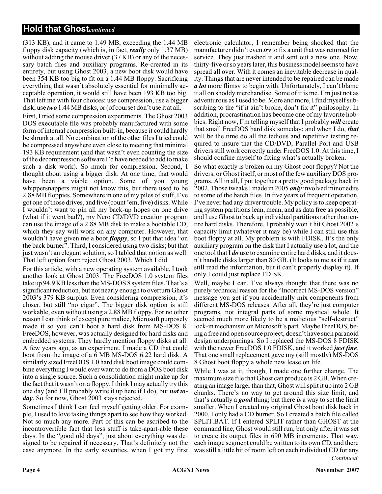## **Hold that Ghost***continued*

(313 KB), and it came to 1.49 MB, exceeding the 1.44 MB floppy disk capacity (which is, in fact, *really* only 1.37 MB) without adding the mouse driver (37 KB) or any of the necessary batch files and auxiliary programs. Re-created in its entirety, but using Ghost 2003, a new boot disk would have been 354 KB too big to fit on a 1.44 MB floppy. Sacrificing everything that wasn't absolutely essential for minimally acceptable operation, it would still have been 193 KB too big. That left me with four choices: use compression, use a bigger disk, use *two* 1.44 MB disks, or (of course) don't use it at all.

First, I tried some compression experiments. The Ghost 2003 DOS executable file was probably manufactured with some form of internal compression built-in, because it could hardly be shrunk at all. No combination of the other files I tried could be compressed anywhere even close to meeting that minimal 193 KB requirement (and that wasn't even counting the size of the decompression software I'd have needed to add to make such a disk work). So much for compression. Second, I thought about using a bigger disk. At one time, that would have been a viable option. Some of you young whippersnappers might not know this, but there used to be 2.88 MB floppies. Somewhere in one of my piles of stuff, I've got one of those drives, and five (count 'em, five) disks. While I wouldn't want to pin all my back-up hopes on one drive (what if it went bad?), my Nero CD/DVD creation program can use the image of a 2.88 MB disk to make a bootable CD, which they say will work on any computer. However, that wouldn't have given me a boot *floppy*, so I put that idea "on the back burner". Third, I considered using two disks; but that just wasn't an elegant solution, so I tabled that notion as well. That left option four: reject Ghost 2003. Which I did.

For this article, with a new operating system available, I took another look at Ghost 2003. The FreeDOS 1.0 system files take up 94.9 KB less than the MS-DOS 8 system files. That's a significant reduction, but not nearly enough to overturn Ghost 2003's 379 KB surplus. Even considering compression, it's closer, but still "no cigar". The bigger disk option is still workable, even without using a 2.88 MB floppy. For no other reason I can think of except pure malice, Microsoft purposely made it so you can't boot a hard disk from MS-DOS 8. FreeDOS, however, was actually designed for hard disks and embedded systems. They hardly mention floppy disks at all. A few years ago, as an experiment, I made a CD that could boot from the image of a 6 MB MS-DOS 6.22 hard disk. A similarly sized FreeDOS 1.0 hard disk boot image could combine everything I would ever want to do from a DOS boot disk into a single source. Such a consolidation might make up for the fact that it wasn't on a floppy. I think I may actually try this one day (and I'll probably write it up here if I do), but *not today*. So for now, Ghost 2003 stays rejected.

Sometimes I think I can feel myself getting older. For example, I used to love taking things apart to see how they worked. Not so much any more. Part of this can be ascribed to the incontrovertible fact that less stuff is take-apart-able these days. In the "good old days", just about everything was designed to be repaired if necessary. That's definitely not the case anymore. In the early seventies, when I got my first

electronic calculator, I remember being shocked that the manufacturer didn't even *try* to fix a unit that was returned for service. They just trashed it and sent out a new one. Now, thirty-five or so years later, this business model seems to have spread all over. With it comes an inevitable decrease in quality. Things that are never intended to be repaired can be made *a lot* more flimsy to begin with. Unfortunately, I can't blame it all on shoddy merchandise. Some of it is me. I'm just not as adventurous as I used to be. More and more, I find myself subscribing to the "if it ain't broke, don't fix it" philosophy. In addition, procrastination has become one of my favorite hobbies. Right now, I'm telling myself that I probably *will* create that small FreeDOS hard disk someday; and when I do, *that* will be the time do all the tedious and repetitive testing required to insure that the CD/DVD, Parallel Port and USB drivers still work correctly under FreeDOS 1.0. At this time, I should confine myself to fixing what's actually broken.

So what exactly is broken on my Ghost boot floppy? Not the drivers, or Ghost itself, or most of the few auxiliary DOS programs. All in all, I put together a pretty good package back in 2002. Those tweaks I made in 2005 *only* involved minor edits to some of the batch files. In five years of frequent operation, I've never had any driver trouble. My policy is to keep operating system partitions lean, mean, and as data free as possible, and I use Ghost to back up individual partitions rather than entire hard disks. Therefore, I probably won't hit Ghost 2002's capacity limit (whatever it may be) while I can still use this boot floppy at all. My problem is with FDISK. It's the only auxiliary program on the disk that I actually use a lot, and the one tool that I *do* use to examine entire hard disks, and it doesn't handle disks larger than 80 GB. (It looks to me as if it *can* still read the information, but it can't properly display it). If only I could just replace FDISK.

Well, maybe I can. I've always thought that there was no purely technical reason for the "Incorrect MS-DOS version" message you get if you accidentally mix components from different MS-DOS releases. After all, they're just computer programs, not integral parts of some mystical whole. It seemed much more likely to be a malicious "self-destruct" lock-in mechanism on Microsoft's part. Maybe FreeDOS, being a free and open source project, doesn't have such paranoid design underpinnings. So I replaced the MS-DOS 8 FDISK with the newer FreeDOS 1.0 FDISK, and it worked *just fine*. That one small replacement gave my (still mostly) MS-DOS 8 Ghost boot floppy a whole new lease on life.

*Continued* While I was at it, though, I made one further change. The maximum size file that Ghost can produce is 2 GB. When creating an image larger than that, Ghost will split it up into 2 GB chunks. There's no way to get around this size limit, and that's actually a *good* thing; but there *is* a way to set the limit smaller. When I created my original Ghost boot disk back in 2000, I only had a CD burner. So I created a batch file called SPLIT.BAT. If I entered SPLIT rather than GHOST at the command line, Ghost would still run, but only after it was set to create its output files in 690 MB increments. That way, each image segment could be written to its own CD, and there was still a little bit of room left on each individual CD for any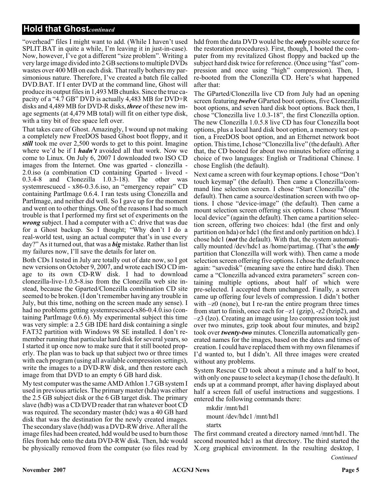## **Hold that Ghost***continued*

"overhead" files I might want to add. (While I haven't used SPLIT.BAT in quite a while, I'm leaving it in just-in-case). Now, however, I've got a different "size problem". Writing a very large image divided into 2 GB sections to multiple DVDs wastes over 400 MB on each disk. That really bothers my parsimonious nature. Therefore, I've created a batch file called DVD.BAT. If I enter DVD at the command line, Ghost will produce its output files in 1,493 MB chunks. Since the true capacity of a "4.7 GB" DVD is actually 4,483 MB for DVD+R disks and 4,489 MB for DVD-R disks, *three* of these new image segments (at 4,479 MB total) will fit on either type disk, with a tiny bit of free space left over.

That takes care of Ghost. Amazingly, I wound up not making a completely new FreeDOS based Ghost boot floppy, and it *still* took me over 2,500 words to get to this point. Imagine where we'd be if I *hadn't* avoided all that work. Now we come to Linux. On July 6, 2007 I downloaded two ISO CD images from the Internet. One was gparted - clonezilla - 2.0.iso (a combination CD containing Gparted - livecd - 0.3.4-8 and Clonezilla 1.0.3-18). The other was systemrescuecd - x86-0.3.6.iso, an "emergency repair" CD containing PartImage 0.6.4. I ran tests using Clonezilla and PartImage, and neither did well. So I gave up for the moment and went on to other things. One of the reasons I had so much trouble is that I performed my first set of experiments on the *wrong* subject. I had a computer with a C: drive that was due for a Ghost backup. So I thought; "Why don't I do a real-world test, using an actual computer that's in use every day?" As it turned out, that was a *big* mistake. Rather than list my failures now, I'll save the details for later on.

Both CDs I tested in July are totally out of date now, so I got new versions on October 9, 2007, and wrote each ISO CD image to its own CD-RW disk. I had to download clonezilla-live-1.0.5-8.iso from the Clonezilla web site instead, because the Gparted/Clonezilla combination CD site seemed to be broken. (I don't remember having any trouble in July, but this time, nothing on the screen made any sense). I had no problems getting systemrescuecd-x86-0.4.0.iso (containing PartImage 0.6.6). My experimental subject this time was very simple: a 2.5 GB IDE hard disk containing a single FAT32 partition with Windows 98 SE installed. I don't remember running that particular hard disk for several years, so I started it up once now to make sure that it still booted properly. The plan was to back up that subject two or three times with each program (using all available compression settings), write the images to a DVD-RW disk, and then restore each image from that DVD to an empty 6 GB hard disk.

My test computer was the same AMD Athlon 1.7 GB system I used in previous articles. The primary master (hda) was either the 2.5 GB subject disk or the 6 GB target disk. The primary slave (hdb) was a CD/DVD reader that ran whatever boot CD was required. The secondary master (hdc) was a 40 GB hard disk that was the destination for the newly created images. The secondary slave (hdd) was a DVD-RW drive. After all the image files had been created, hdd would be used to burn those files from hdc onto the data DVD-RW disk. Then, hdc would be physically removed from the computer (so files read by

hdd from the data DVD would be the *only* possible source for the restoration procedures). First, though, I booted the computer from my revitalized Ghost floppy and backed up the subject hard disk twice for reference. (Once using "fast" compression and once using "high" compression). Then, I re-booted from the Clonezilla CD. Here's what happened after that:

The GParted/Clonezilla live CD from July had an opening screen featuring *twelve* GParted boot options, five Clonezilla boot options, and seven hard disk boot options. Back then, I chose "Clonezilla live 1.0.3-18", the first Clonezilla option. The new Clonezilla 1.0.5.8 live CD has four Clonezilla boot options, plus a local hard disk boot option, a memory test option, a FreeDOS boot option, and an Ethernet network boot option. This time, I chose "Clonezilla live" (the default). After that, the CD booted for about two minutes before offering a choice of two languages: English or Traditional Chinese. I chose English (the default).

Next came a screen with four keymap options. I chose "Don't touch keymap" (the default). Then came a Clonezilla/command line selection screen. I chose "Start Clonezilla" (the default). Then came a source/destination screen with two options. I chose "device-image" (the default). Then came a mount selection screen offering six options. I chose "Mount local device" (again the default). Then came a partition selection screen, offering two choices: hda1 (the first and only partition on hda) or hdc1 (the first and only partition on hdc). I chose hdc1 (*not* the default). With that, the system automatically mounted /dev/hdc1 as /home/partimag. (That's the *only* partition that Clonezilla will work with). Then came a mode selection screen offering five options. I chose the default once again: "savedisk" (meaning save the entire hard disk). Then came a "Clonezilla advanced extra parameters" screen containing multiple options, about half of which were pre-selected. I accepted them unchanged. Finally, a screen came up offering four levels of compression. I didn't bother with –z0 (none), but I re-ran the entire program three times from start to finish, once each for –z1 (gzip), -z2 (bzip2), and –z3 (lzo). Creating an image using lzo compression took just over two minutes, gzip took about four minutes, and bzip2 took over *twenty-two* minutes. Clonezilla automatically generated names for the images, based on the dates and times of creation. I could have replaced them with my own filenames if I'd wanted to, but I didn't. All three images were created without any problems.

System Rescue CD took about a minute and a half to boot, with only one pause to select a keymap (I chose the default). It ends up at a command prompt, after having displayed about half a screen full of useful instructions and suggestions. I entered the following commands there:

mkdir /mnt/hd1 mount /dev/hdc1 /mnt/hd1 startx

*Continued* The first command created a directory named /mnt/hd1. The second mounted hdc1 as that directory. The third started the X.org graphical environment. In the resulting desktop, I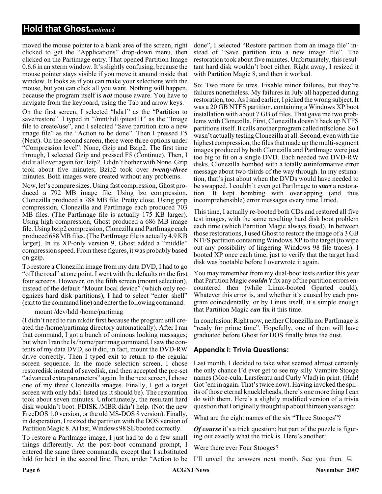## **Hold that Ghost***continued*

moved the mouse pointer to a blank area of the screen, right clicked to get the "Applications" drop-down menu, then clicked on the Partimage entry. That opened Partition Image 0.6.6 in an xterm window. It's slightly confusing, because the mouse pointer stays visible if you move it around inside that window. It looks as if you can make your selections with the mouse, but you can click all you want. Nothing will happen, because the program itself is *not* mouse aware. You have to navigate from the keyboard, using the Tab and arrow keys.

On the first screen, I selected "hda1" as the "Partition to save/restore". I typed in "/mnt/hd1/pitest11" as the "Image file to create/use", and I selected "Save partition into a new image file" as the "Action to be done". Then I pressed F5 (Next). On the second screen, there were three options under "Compression level": None, Gzip and Bzip2. The first time through, I selected Gzip and pressed F5 (Continue). Then, I did it all over again for Bzip2. I didn't bother with None. Gzip took about five minutes; Bzip2 took over *twenty-three* minutes. Both images were created without any problems.

Now, let's compare sizes. Using fast compression, Ghost produced a 792 MB image file. Using lzo compression, Clonezilla produced a 788 MB file. Pretty close. Using gzip compression, Clonezilla and PartImage each produced 703 MB files. (The PartImage file is actually 175 KB larger). Using high compression, Ghost produced a 686 MB image file. Using bzip2 compression, Clonezilla and PartImage each produced 688 MB files. (The PartImage file is actually 4.9 KB larger). In its XP-only version 9, Ghost added a "middle" compression speed. From these figures, it was probably based on gzip.

To restore a Clonezilla image from my data DVD, I had to go "off the road" at one point. I went with the defaults on the first four screens. However, on the fifth screen (mount selection), instead of the default "Mount local device" (which only recognizes hard disk partitions), I had to select "enter\_shell" (exit to the command line) and enter the following command:

#### mount /dev/hdd /home/partimag

(I didn't need to run mkdir first because the program still created the /home/partimag directory automatically). After I ran that command, I got a bunch of ominous looking messages; but when I ran the ls /home/partimag command, I saw the contents of my data DVD, so it did, in fact, mount the DVD-RW drive correctly. Then I typed exit to return to the regular screen sequence. In the mode selection screen, I chose restoredisk instead of savedisk, and then accepted the pre-set "advanced extra parameters" again. In the next screen, I chose one of my three Clonezilla images. Finally, I got a target screen with only hda1 listed (as it should be). The restoration took about seven minutes. Unfortunately, the resultant hard disk wouldn't boot. FDISK /MBR didn't help. (Not the new FreeDOS 1.0 version, or the old MS-DOS 8 version). Finally, in desperation, I resized the partition with the DOS version of Partition Magic 8. At last, Windows 98 SE booted correctly.

To restore a PartImage image, I just had to do a few small things differently. At the post-boot command prompt, I entered the same three commands, except that I substituted hdd for hdc1 in the second line. Then, under "Action to be

done", I selected "Restore partition from an image file" instead of "Save partition into a new image file". The restoration took about five minutes. Unfortunately, this resultant hard disk wouldn't boot either. Right away, I resized it with Partition Magic 8, and then it worked.

So: Two more failures. Fixable minor failures, but they're failures nonetheless. My failures in July all happened during restoration, too. As I said earlier, I picked the wrong subject. It was a 20 GB NTFS partition, containing a Windows XP boot installation with about 7 GB of files. That gave me two problems with Clonezilla. First, Clonezilla doesn't back up NTFS partitions itself. It calls another program called ntfsclone. So I wasn't actually testing Clonezilla at all. Second, even with the highest compression, the files that made up the multi-segment images produced by both Clonezilla and PartImage were just too big to fit on a single DVD. Each needed two DVD-RW disks. Clonezilla bombed with a totally *un*informative error message about two-thirds of the way through. In my estimation, that's just about when the DVDs would have needed to be swapped. I couldn't even get PartImage to *start* a restoration. It kept bombing with overlapping (and thus incomprehensible) error messages every time I tried.

This time, I actually re-booted both CDs and restored all five test images, with the same resulting hard disk boot problem each time (which Partition Magic always fixed). In between those restorations, I used Ghost to restore the image of a 3 GB NTFS partition containing Windows XP to the target (to wipe out any possibility of lingering Windows 98 file traces). I booted XP once each time, just to verify that the target hard disk was bootable before I overwrote it again.

You may remember from my dual-boot tests earlier this year that Partition Magic *couldn't*fix any of the partition errors encountered then (while Linux-booted Gparted could). Whatever this error is, and whether it's caused by each program coincidentally, or by Linux itself, it's simple enough that Partition Magic *can* fix it this time.

In conclusion: Right now, neither Clonezilla nor PartImage is "ready for prime time". Hopefully, one of them will have graduated before Ghost for DOS finally bites the dust.

### **Appendix I: Trivia Questions:**

Last month, I decided to take what seemed almost certainly the only chance I'd ever get to see my silly Vampire Stooge names (Moe-cula, Larsferatu and Curly Vlad) in print. (Hah! Got 'em in again. That's twice now). Having invoked the spirits of those eternal knuckleheads, there's one more thing I can do with them. Here's a slightly modified version of a trivia question that I originally thought up about thirteen years ago:

What are the eight names of the six "Three Stooges"?

*Of course* it's a trick question; but part of the puzzle is figuring out exactly what the trick is. Here's another:

Were there ever Four Stooges?

I'll unveil the answers next month. See you then.  $\Box$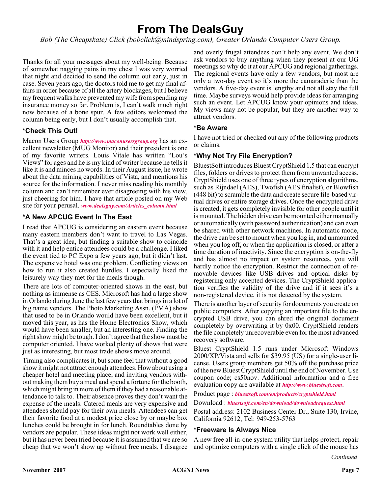## **From The DealsGuy**

*Bob (The Cheapskate) Click (bobclick@mindspring.com), Greater Orlando Computer Users Group.*

Thanks for all your messages about my well-being. Because of somewhat nagging pains in my chest I was very worried that night and decided to send the column out early, just in case. Seven years ago, the doctors told me to get my final affairs in order because of all the artery blockages, but I believe my frequent walks have prevented my wife from spending my insurance money so far. Problem is, I can't walk much right now because of a bone spur. A few editors welcomed the column being early, but I don't usually accomplish that.

## **\*Check This Out!**

Macon Users Group *<http://www.maconusersgroup.org>* has an excellent newsletter (MUG Monitor) and their president is one of my favorite writers. Louis Vitale has written "Lou's Views" for ages and he is my kind of writer because he tells it like it is and minces no words. In their August issue, he wrote about the data mining capabilities of Vista, and mentions his source for the information. I never miss reading his monthly column and can't remember ever disagreeing with his view, just cheering for him. I have that article posted on my Web site for your perusal. *[www.dealsguy.com/Articles\\_column.html](http://www.dealsguy.com/Articles_column.html)*

## **\*A New APCUG Event In The East**

I read that APCUG is considering an eastern event because many eastern members don't want to travel to Las Vegas. That's a great idea, but finding a suitable show to coincide with it and help entice attendees could be a challenge. I liked the event tied to PC Expo a few years ago, but it didn't last. The expensive hotel was one problem. Conflicting views on how to run it also created hurdles. I especially liked the leisurely way they met for the meals though.

There are lots of computer-oriented shows in the east, but nothing as immense as CES. Microsoft has had a large show in Orlando during June the last few years that brings in a lot of big name vendors. The Photo Marketing Assn. (PMA) show that used to be in Orlando would have been excellent, but it moved this year, as has the Home Electronics Show, which would have been smaller, but an interesting one. Finding the right show might be tough. I don't agree that the show must be computer oriented. I have worked plenty of shows that were just as interesting, but most trade shows move around.

Timing also complicates it, but some feel that without a good show it might not attract enough attendees. How about using a cheaper hotel and meeting place, and inviting vendors without making them buy a meal and spend a fortune for the booth, which might bring in more of them if they had a reasonable attendance to talk to. Their absence proves they don't want the expense of the meals. Catered meals are very expensive and attendees should pay for their own meals. Attendees can get their favorite food at a modest price close by or maybe box lunches could be brought in for lunch. Roundtables done by vendors are popular. These ideas might not work well either, but it has never been tried because it is assumed that we are so cheap that we won't show up without free meals. I disagree and overly frugal attendees don't help any event. We don't ask vendors to buy anything when they present at our UG meetings so why do it at our APCUG and regional gatherings. The regional events have only a few vendors, but most are only a two-day event so it's more the camaraderie than the vendors. A five-day event is lengthy and not all stay the full time. Maybe surveys would help provide ideas for arranging such an event. Let APCUG know your opinions and ideas. My views may not be popular, but they are another way to attract vendors.

## **\*Be Aware**

I have not tried or checked out any of the following products or claims.

## **\*Why Not Try File Encryption?**

BluestSoft introduces Bluest CryptShield 1.5 that can encrypt files, folders or drives to protect them from unwanted access. CryptShield uses one of three types of encryption algorithms, such as Rijndael (AES), Twofish (AES finalist), or Blowfish (448 bit) to scramble the data and create secure file-based virtual drives or entire storage drives. Once the encrypted drive is created, it gets completely invisible for other people until it is mounted. The hidden drive can be mounted either manually or automatically (with password authentication) and can even be shared with other network machines. In automatic mode, the drive can be set to mount when you log in, and unmounted when you log off, or when the application is closed, or after a time duration of inactivity. Since the encryption is on-the-fly and has almost no impact on system resources, you will hardly notice the encryption. Restrict the connection of removable devices like USB drives and optical disks by registering only accepted devices. The CryptShield application verifies the validity of the drive and if it sees it's a non-registered device, it is not detected by the system.

There is another layer of security for documents you create on public computers. After copying an important file to the encrypted USB drive, you can shred the original document completely by overwriting it by 0x00. CryptShield renders the file completely unrecoverable even for the most advanced recovery software.

Bluest CryptShield 1.5 runs under Microsoft Windows 2000/XP/Vista and sells for \$39.95 (US) for a single-user license. Users group members get 50% off the purchase price of the new Bluest CryptShield until the end of November. Use coupon code; cs50nov. Additional information and a free evaluation copy are available at *<http://www.bluestsoft.com>*.

Product page : *[bluestsoft.com/en/products/cryptshield.html](http://www.bluestsoft.com/en/products/cryptshield.html )*

Download : *[bluestsoft.com/en/download/downloadrequest.html](http://www.bluestsoft.com/en/download/downloadrequest.html)*

Postal address: 2102 Business Center Dr., Suite 130, Irvine, California 92612, Tel: 949-253-5763

### **\*Freeware Is Always Nice**

A new free all-in-one system utility that helps protect, repair and optimize computers with a single click of the mouse has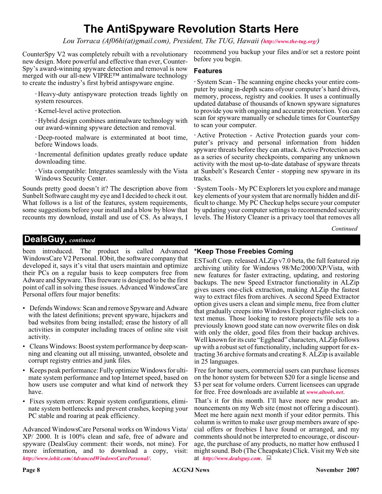## **The AntiSpyware Revolution Starts Here**

*Lou Torraca (Af06hi(at)gmail.com), President, The TUG, Hawaii (<http://www.the-tug.org/>)*

CounterSpy V2 was completely rebuilt with a revolutionary new design. More powerful and effective than ever, Counter-Spy's award-winning spyware detection and removal is now merged with our all-new VIPRE™ antimalware technology to create the industry's first hybrid antispyware engine.

Heavy-duty antispyware protection treads lightly on system resources.

Kernel-level active protection.

Hybrid design combines antimalware technology with our award-winning spyware detection and removal.

Deep-rooted malware is exterminated at boot time, before Windows loads.

Incremental definition updates greatly reduce update downloading time.

Vista compatible: Integrates seamlessly with the Vista Windows Security Center.

Sounds pretty good doesn't it? The description above from Sunbelt Software caught my eye and I decided to check it out. What follows is a list of the features, system requirements, some suggestions before your install and a blow by blow that recounts my download, install and use of CS. As always, I

recommend you backup your files and/or set a restore point before you begin.

### **Features**

System Scan - The scanning engine checks your entire computer by using in-depth scans ofyour computer's hard drives, memory, process, registry and cookies. It uses a continually updated database of thousands of known spyware signatures to provide you with ongoing and accurate protection. You can scan for spyware manually or schedule times for CounterSpy to scan your computer.

Active Protection - Active Protection guards your computer's privacy and personal information from hidden spyware threats before they can attack. Active Protection acts as a series of security checkpoints, comparing any unknown activity with the most up-to-date database of spyware threats at Sunbelt's Research Center - stopping new spyware in its tracks.

System Tools - My PC Explorers let you explore and manage key elements of your system that are normally hidden and difficult to change. My PC Checkup helps secure your computer by updating your computer settings to recommended security levels. The History Cleaner is a privacy tool that removes all

*Continued*

## **DealsGuy,** *continued*

been introduced. The product is called Advanced WindowsCare V2 Personal. IObit, the software company that developed it, says it's vital that users maintain and optimize their PCs on a regular basis to keep computers free from Adware and Spyware. This freeware is designed to be the first point of call in solving these issues. Advanced WindowsCare Personal offers four major benefits:

- Defends Windows: Scan and remove Spyware and Adware with the latest definitions; prevent spyware, hijackers and bad websites from being installed; erase the history of all activities in computer including traces of online site visit activity.
- Cleans Windows: Boost system performance by deep scanning and cleaning out all missing, unwanted, obsolete and corrupt registry entries and junk files.
- Keeps peak performance: Fully optimize Windows for ultimate system performance and top Internet speed, based on how users use computer and what kind of network they have.
- Fixes system errors: Repair system configurations, eliminate system bottlenecks and prevent crashes, keeping your PC stable and roaring at peak efficiency.

Advanced WindowsCare Personal works on Windows Vista/ XP/ 2000. It is 100% clean and safe, free of adware and spyware (DealsGuy comment: their words, not mine). For more information, and to download a copy, visit: *<http://www.iobit.com/AdvancedWindowsCarePersonal/>*.

### **\*Keep Those Freebies Coming**

ESTsoft Corp. released ALZip v7.0 beta, the full featured zip archiving utility for Windows 98/Me/2000/XP/Vista, with new features for faster extracting, updating, and restoring backups. The new Speed Extractor functionality in ALZip gives users one-click extraction, making ALZip the fastest way to extract files from archives. A second Speed Extractor option gives users a clean and simple menu, free from clutter that gradually creeps into Windows Explorer right-click context menus. Those looking to restore projects/file sets to a previously known good state can now overwrite files on disk with only the older, good files from their backup archives. Well known for its cute "Egghead" characters, ALZip follows up with a robust set of functionality, including support for extracting 36 archive formats and creating 8. ALZip is available in 25 languages.

Free for home users, commercial users can purchase licenses on the honor system for between \$20 for a single license and \$3 per seat for volume orders. Current licensees can upgrade for free. Free downloads are available at *[www.altools.net](http://www.altools.net)*.

That's it for this month. I'll have more new product announcements on my Web site (most not offering a discount). Meet me here again next month if your editor permits. This column is written to make user group members aware of special offers or freebies I have found or arranged, and my comments should not be interpreted to encourage, or discourage, the purchase of any products, no matter how enthused I might sound. Bob (The Cheapskate) Click. Visit my Web site at *<http://www.dealsguy.com>*.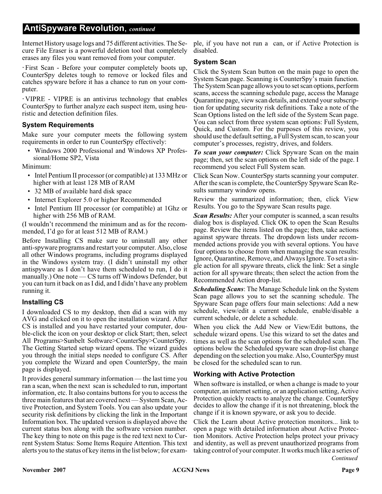## **AntiSpyware Revolution**, *continued*

Internet History usage logs and 75 different activities. The Secure File Eraser is a powerful deletion tool that completely erases any files you want removed from your computer.

First Scan - Before your computer completely boots up, CounterSpy deletes tough to remove or locked files and catches spyware before it has a chance to run on your computer.

VIPRE - VIPRE is an antivirus technology that enables CounterSpy to further analyze each suspect item, using heuristic and detection definition files.

## **System Requirements**

Make sure your computer meets the following system requirements in order to run CounterSpy effectively:

• Windows 2000 Professional and Windows XP Professional/Home SP2, Vista

Minimum:

- Intel Pentium II processor (or compatible) at 133 MHz or higher with at least 128 MB of RAM
- 32 MB of available hard disk space
- Internet Explorer 5.0 or higher Recommended
- Intel Pentium III processor (or compatible) at 1Ghz or higher with 256 MB of RAM.

(I wouldn't recommend the minimum and as for the recommended, I'd go for at least 512 MB of RAM.)

Before Installing CS make sure to uninstall any other anti-spyware programs and restart your computer. Also, close all other Windows programs, including programs displayed in the Windows system tray. (I didn't uninstall my other antispyware as I don't have them scheduled to run, I do it manually.) One note — CS turns off Windows Defender, but you can turn it back on as I did, and I didn't have any problem running it.

## **Installing CS**

I downloaded CS to my desktop, then did a scan with my AVG and clicked on it to open the installation wizard. After CS is installed and you have restarted your computer, double-click the icon on your desktop or click Start; then, select All Programs>Sunbelt Software>CounterSpy>CounterSpy. The Getting Started setup wizard opens. The wizard guides you through the initial steps needed to configure CS. After you complete the Wizard and open CounterSpy, the main page is displayed.

It provides general summary information — the last time you ran a scan, when the next scan is scheduled to run, important information, etc. It also contains buttons for you to access the three main features that are covered next — System Scan, Active Protection, and System Tools. You can also update your security risk definitions by clicking the link in the Important Information box. The updated version is displayed above the current status box along with the software version number. The key thing to note on this page is the red text next to Current System Status: Some Items Require Attention. This text alerts you to the status of key items in the list below; for exam-

ple, if you have not run a can, or if Active Protection is disabled.

### **System Scan**

Click the System Scan button on the main page to open the System Scan page. Scanning is CounterSpy's main function. The System Scan page allows you to set scan options, perform scans, access the scanning schedule page, access the Manage Quarantine page, view scan details, and extend your subscription for updating security risk definitions. Take a note of the Scan Options listed on the left side of the System Scan page. You can select from three system scan options: Full System, Quick, and Custom. For the purposes of this review, you should use the default setting, a Full System scan, to scan your computer's processes, registry, drives, and folders.

*To scan your computer:* Click Spyware Scan on the main page; then, set the scan options on the left side of the page. I recommend you select Full System scan.

Click Scan Now. CounterSpy starts scanning your computer. After the scan is complete, the CounterSpy Spyware Scan Results summary window opens.

Review the summarized information; then, click View Results. You go to the Spyware Scan results page.

*Scan Results:* After your computer is scanned, a scan results dialog box is displayed. Click OK to open the Scan Results page. Review the items listed on the page; then, take actions against spyware threats. The dropdown lists under recommended actions provide you with several options. You have four options to choose from when managing the scan results: Ignore, Quarantine, Remove, and Always Ignore. To set a single action for all spyware threats, click the link: Set a single action for all spyware threats; then select the action from the Recommended Action drop-list.

*Scheduling Scans*: The Manage Schedule link on the System Scan page allows you to set the scanning schedule. The Spyware Scan page offers four main selections: Add a new schedule, view/edit a current schedule, enable/disable a current schedule, or delete a schedule.

When you click the Add New or View/Edit buttons, the schedule wizard opens. Use this wizard to set the dates and times as well as the scan options for the scheduled scan. The options below the Scheduled spyware scan drop-list change depending on the selection you make. Also, CounterSpy must be closed for the scheduled scan to run.

### **Working with Active Protection**

When software is installed, or when a change is made to your computer, an internet setting, or an application setting, Active Protection quickly reacts to analyze the change. CounterSpy decides to allow the change if it is not threatening, block the change if it is known spyware, or ask you to decide.

Click the Learn about Active protection monitors... link to open a page with detailed information about Active Protection Monitors. Active Protection helps protect your privacy and identity, as well as prevent unauthorized programs from taking control of your computer. It works much like a series of *Continued*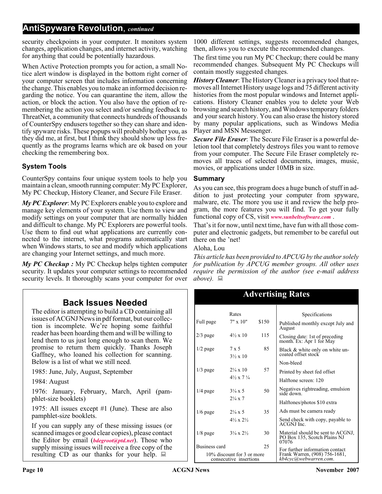## **AntiSpyware Revolution**, *continued*

security checkpoints in your computer. It monitors system changes, application changes, and internet activity, watching for anything that could be potentially hazardous.

When Active Protection prompts you for action, a small Notice alert window is displayed in the bottom right corner of your computer screen that includes information concerning the change. This enables you to make an informed decision regarding the notice. You can quarantine the item, allow the action, or block the action. You also have the option of remembering the action you select and/or sending feedback to ThreatNet, a community that connects hundreds of thousands of CounterSpy endusers together so they can share and identify spyware risks. These popups will probably bother you, as they did me, at first, but I think they should show up less frequently as the programs learns which are ok based on your checking the remembering box.

## **System Tools**

CounterSpy contains four unique system tools to help you maintain a clean, smooth running computer: My PC Explorer, My PC Checkup, History Cleaner, and Secure File Eraser.

*My PC Explorer*: My PC Explorers enable you to explore and manage key elements of your system. Use them to view and modify settings on your computer that are normally hidden and difficult to change. My PC Explorers are powerful tools. Use them to find out what applications are currently connected to the internet, what programs automatically start when Windows starts, to see and modify which applications are changing your Internet settings, and much more.

*My PC Checkup :* My PC Checkup helps tighten computer security. It updates your computer settings to recommended security levels. It thoroughly scans your computer for over

## **Back Issues Needed**

The editor is attempting to build a CD containing all issues of ACGNJ News in pdf format, but our collection is incomplete. We're hoping some faithful reader has been hoarding them and will be willing to lend them to us just long enough to scan them. We promise to return them quickly. Thanks Joseph Gaffney, who loaned his collection for scanning. Below is a list of what we still need.

1985: June, July, August, September

1984: August

1976: January, February, March, April (pamphlet-size booklets)

1975: All issues except #1 (June). These are also pamphlet-size booklets.

If you can supply any of these missing issues (or scanned images or good clear copies), please contact the Editor by email (*[bdegroot@ptd.net](mailto:bdegroot@ptd.net)*). Those who supply missing issues will receive a free copy of the resulting CD as our thanks for your help.  $\Box$ 

1000 different settings, suggests recommended changes, then, allows you to execute the recommended changes.

The first time you run My PC Checkup; there could be many recommended changes. Subsequent My PC Checkups will contain mostly suggested changes.

*History Cleaner*: The History Cleaner is a privacy tool that removes all Internet History usage logs and 75 different activity histories from the most popular windows and Internet applications. History Cleaner enables you to delete your Web browsing and search history, and Windows temporary folders and your search history. You can also erase the history stored by many popular applications, such as Windows Media Player and MSN Messenger.

*Secure File Eraser*: The Secure File Eraser is a powerful deletion tool that completely destroys files you want to remove from your computer. The Secure File Eraser completely removes all traces of selected documents, images, music, movies, or applications under 10MB in size.

## **Summary**

As you can see, this program does a huge bunch of stuff in addition to just protecting your computer from spyware, malware, etc. The more you use it and review the help program, the more features you will find. To get your fully functional copy of CS, visit *[www.sunbeltsoftware.com](http://www.sunbeltsoftware.com)* .

That's it for now, until next time, have fun with all those computer and electronic gadgets, but remember to be careful out there on the 'net!

### Aloha, Lou

*This article has been provided to APCUG by the author solely for publication by APCUG member groups. All other uses require the permission of the author (see e-mail address above*). ■

Advertising Rates

#### Specifications Published monthly except July and August Closing date: 1st of preceding month. Ex: Apr 1 for May Black & white only on white un- coated offset stock Non-bleed Printed by sheet fed offset Halftone screen: 120 Negatives rightreading, emulsion side down. Halftones/photos \$10 extra Ads must be camera ready Send check with copy, payable to ACGNJ Inc. Material should be sent to ACGNJ, PO Box 135, Scotch Plains NJ 07076 For further information contact Frank Warren, (908) 756-1681, *kb4cyc@webwarren.com*. Rates Full page 7" x 10" \$150 2/3 page  $4\frac{1}{2} \times 10$  115 1/2 page 7 x 5 85 3½ x 10  $1/3$  page  $2\frac{1}{4} \times 10$  57 4½ x 7 ¼  $1/4$  page  $3\frac{1}{4} \times 5$  50 2¼ x 7  $1/6$  page  $2\frac{1}{4} \times 5$  35 4½ x 2½  $1/8$  page  $3\frac{1}{4} \times 2\frac{1}{2}$  30 Business card 25 10% discount for 3 or more consecutive insertions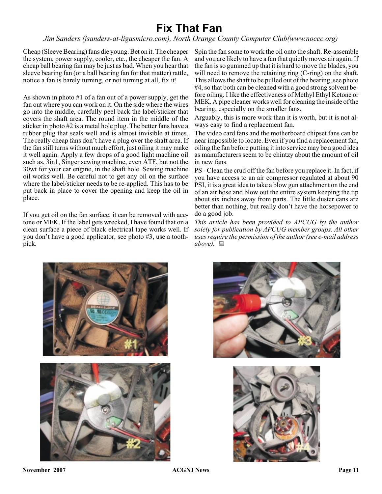## **Fix That Fan**

*Jim Sanders (jsanders-at-ligasmicro.com), North Orange County Computer Club(www.noccc.org)*

Cheap (Sleeve Bearing) fans die young. Bet on it. The cheaper Spin the fan some to work the oil onto the shaft. Re-assemble the system, power supply, cooler, etc., the cheaper the fan. A cheap ball bearing fan may be just as bad. When you hear that sleeve bearing fan (or a ball bearing fan for that matter) rattle, notice a fan is barely turning, or not turning at all, fix it!

As shown in photo #1 of a fan out of a power supply, get the fan out where you can work on it. On the side where the wires go into the middle, carefully peel back the label/sticker that covers the shaft area. The round item in the middle of the sticker in photo #2 is a metal hole plug. The better fans have a rubber plug that seals well and is almost invisible at times. The really cheap fans don't have a plug over the shaft area. If the fan still turns without much effort, just oiling it may make it well again. Apply a few drops of a good light machine oil such as, 3in1, Singer sewing machine, even ATF, but not the 30wt for your car engine, in the shaft hole. Sewing machine oil works well. Be careful not to get any oil on the surface where the label/sticker needs to be re-applied. This has to be put back in place to cover the opening and keep the oil in place.

If you get oil on the fan surface, it can be removed with acetone or MEK. If the label gets wrecked, I have found that on a clean surface a piece of black electrical tape works well. If you don't have a good applicator, see photo #3, use a toothpick.

and you are likely to have a fan that quietly moves air again. If the fan is so gummed up that it is hard to move the blades, you will need to remove the retaining ring (C-ring) on the shaft. This allows the shaft to be pulled out of the bearing, see photo #4, so that both can be cleaned with a good strong solvent before oiling. I like the effectiveness of Methyl Ethyl Ketone or MEK. A pipe cleaner works well for cleaning the inside of the bearing, especially on the smaller fans.

Arguably, this is more work than it is worth, but it is not always easy to find a replacement fan.

The video card fans and the motherboard chipset fans can be near impossible to locate. Even if you find a replacement fan, oiling the fan before putting it into service may be a good idea as manufacturers seem to be chintzy about the amount of oil in new fans.

PS - Clean the crud off the fan before you replace it. In fact, if you have access to an air compressor regulated at about 90 PSI, it is a great idea to take a blow gun attachment on the end of an air hose and blow out the entire system keeping the tip about six inches away from parts. The little duster cans are better than nothing, but really don't have the horsepower to do a good job.

*This article has been provided to APCUG by the author solely for publication by APCUG member groups. All other uses require the permission of the author (see e-mail address above).*





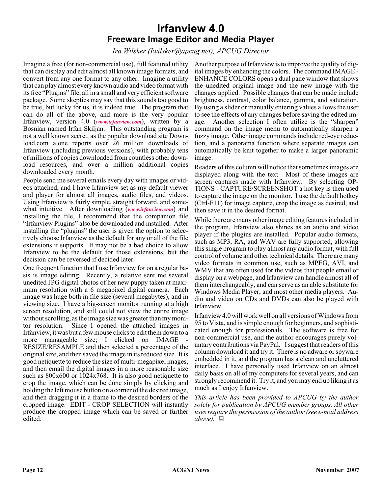## **Irfanview 4.0 Freeware Image Editor and Media Player**

*Ira Wilsker (Iwilsker@apcug.net), APCUG Director*

Imagine a free (for non-commercial use), full featured utility that can display and edit almost all known image formats, and convert from any one format to any other. Imagine a utility that can play almost every known audio and video format with its free "Plugins" file, all in a small and very efficient software package. Some skeptics may say that this sounds too good to be true, but lucky for us, it is indeed true. The program that can do all of the above, and more is the very popular Irfanview, version 4.0 (*[www.irfanview.com](http://www.irfanview.com)*), written by a Bosnian named Irfan Skiljan. This outstanding program is not a well known secret, as the popular download site Download.com alone reports over 26 million downloads of Irfanview (including previous versions), with probably tens of millions of copies downloaded from countless other download resources, and over a million additional copies downloaded every month.

People send me several emails every day with images or videos attached, and I have Irfanview set as my default viewer and player for almost all images, audio files, and videos. Using Irfanview is fairly simple, straight forward, and somewhat intuitive. After downloading (*[www.irfanview.com](http://www.irfanview.com)*) and installing the file, I recommend that the companion file "Irfanview Plugins" also be downloaded and installed. After installing the "plugins" the user is given the option to selectively choose Irfanview as the default for any or all of the file extensions it supports. It may not be a bad choice to allow Irfanview to be the default for those extensions, but the decision can be reversed if decided later.

One frequent function that I use Irfanview for on a regular basis is image editing. Recently, a relative sent me several unedited JPG digital photos of her new puppy taken at maximum resolution with a 6 megapixel digital camera. Each image was huge both in file size (several megabytes), and in viewing size. I have a big-screen monitor running at a high screen resolution, and still could not view the entire image without scrolling, as the image size was greater than my monitor resolution. Since I opened the attached images in Irfanview, it was but a few mouse clicks to edit them down to a more manageable size; I clicked on IMAGE RESIZE/RESAMPLE and then selected a percentage of the original size, and then saved the image in its reduced size. It is good netiquette to reduce the size of multi-megapixel images, and then email the digital images in a more reasonable size such as 800x600 or 1024x768. It is also good netiquette to crop the image, which can be done simply by clicking and holding the left mouse button on a corner of the desired image, and then dragging it in a frame to the desired borders of the cropped image. EDIT - CROP SELECTION will instantly produce the cropped image which can be saved or further edited.

Another purpose of Irfanview is to improve the quality of digital images by enhancing the colors. The command IMAGE - ENHANCE COLORS opens a dual pane window that shows the unedited original image and the new image with the changes applied. Possible changes that can be made include brightness, contrast, color balance, gamma, and saturation. By using a slider or manually entering values allows the user to see the effects of any changes before saving the edited image. Another selection I often utilize is the "sharpen" command on the image menu to automatically sharpen a fuzzy image. Other image commands include red-eye reduction, and a panorama function where separate images can automatically be knit together to make a larger panoramic image.

Readers of this column will notice that sometimes images are displayed along with the text. Most of these images are screen captures made with Irfanview. By selecting OP-TIONS - CAPTURE/SCREENSHOT a hot key is then used to capture the image on the monitor. I use the default hotkey (Ctrl-F11) for image capture, crop the image as desired, and then save it in the desired format.

While there are many other image editing features included in the program, Irfanview also shines as an audio and video player if the plugins are installed. Popular audio formats, such as MP3, RA, and WAV are fully supported, allowing this single program to play almost any audio format, with full control of volume and other technical details. There are many video formats in common use, such as MPEG, AVI, and WMV that are often used for the videos that people email or display on a webpage, and Irfanview can handle almost all of them interchangeably, and can serve as an able substitute for Windows Media Player, and most other media players. Audio and video on CDs and DVDs can also be played with Irfanview.

Irfanview 4.0 will work well on all versions of Windows from 95 to Vista, and is simple enough for beginners, and sophisticated enough for professionals. The software is free for non-commercial use, and the author encourages purely voluntary contributions via PayPal. I suggest that readers of this column download it and try it. There is no adware or spyware embedded in it, and the program has a clean and uncluttered interface. I have personally used Irfanview on an almost daily basis on all of my computers for several years, and can strongly recommend it. Try it, and you may end up liking it as much as I enjoy Irfanview.

*This article has been provided to APCUG by the author solely for publication by APCUG member groups. All other uses require the permission of the author (see e-mail address above).*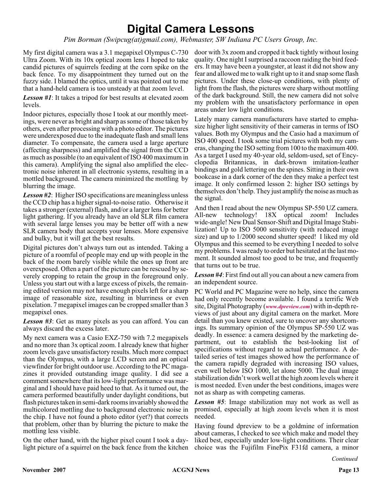## **Digital Camera Lessons**

*Pim Borman (Swipcug(at)gmail.com), Webmaster, SW Indiana PC Users Group, Inc.*

My first digital camera was a 3.1 megapixel Olympus C-730 Ultra Zoom. With its 10x optical zoom lens I hoped to take candid pictures of squirrels feeding at the corn spike on the back fence. To my disappointment they turned out on the fuzzy side. I blamed the optics, until it was pointed out to me that a hand-held camera is too unsteady at that zoom level.

*Lesson #1*: It takes a tripod for best results at elevated zoom levels.

Indoor pictures, especially those I took at our monthly meetings, were never as bright and sharp as some of those taken by others, even after processing with a photo editor. The pictures were underexposed due to the inadequate flash and small lens diameter. To compensate, the camera used a large aperture (affecting sharpness) and amplified the signal from the CCD as much as possible (to an equivalent of ISO 400 maximum in this camera). Amplifying the signal also amplified the electronic noise inherent in all electronic systems, resulting in a mottled background. The camera minimized the mottling by blurring the image.

*Lesson #2*: Higher ISO specifications are meaningless unless the CCD chip has a higher signal-to-noise ratio. Otherwise it takes a stronger (external) flash, and/or a larger lens for better light gathering. If you already have an old SLR film camera with several large lenses you may be better off with a new SLR camera body that accepts your lenses. More expensive and bulky, but it will get the best results.

Digital pictures don't always turn out as intended. Taking a picture of a roomful of people may end up with people in the back of the room barely visible while the ones up front are overexposed. Often a part of the picture can be rescued by severely cropping to retain the group in the foreground only. Unless you start out with a large excess of pixels, the remaining edited version may not have enough pixels left for a sharp image of reasonable size, resulting in blurriness or even pixelation. 7 megapixel images can be cropped smaller than 3 megapixel ones.

*Lesson #3*: Get as many pixels as you can afford. You can always discard the excess later.

My next camera was a Casio EXZ-750 with 7.2 megapixels and no more than 3x optical zoom. I already knew that higher zoom levels gave unsatisfactory results. Much more compact than the Olympus, with a large LCD screen and an optical viewfinder for bright outdoor use. According to the PC magazines it provided outstanding image quality. I did see a comment somewhere that its low-light performance was marginal and I should have paid heed to that. As it turned out, the camera performed beautifully under daylight conditions, but flash pictures taken in semi-dark rooms invariably showed the multicolored mottling due to background electronic noise in the chip. I have not found a photo editor (yet?) that corrects that problem, other than by blurring the picture to make the mottling less visible.

On the other hand, with the higher pixel count I took a daylight picture of a squirrel on the back fence from the kitchen

door with 3x zoom and cropped it back tightly without losing quality. One night I surprised a raccoon raiding the bird feeders. It may have been a youngster, at least it did not show any fear and allowed me to walk right up to it and snap some flash pictures. Under these close-up conditions, with plenty of light from the flash, the pictures were sharp without mottling of the dark background. Still, the new camera did not solve my problem with the unsatisfactory performance in open areas under low light conditions.

Lately many camera manufacturers have started to emphasize higher light sensitivity of their cameras in terms of ISO values. Both my Olympus and the Casio had a maximum of ISO 400 speed. I took some trial pictures with both my cameras, changing the ISO setting from 100 to the maximum 400. As a target I used my 40-year old, seldom-used, set of Encyclopedia Britannicas, in dark-brown imitation-leather bindings and gold lettering on the spines. Sitting in their own bookcase in a dark corner of the den they make a perfect test image. It only confirmed lesson 2: higher ISO settings by themselves don't help. They just amplify the noise as much as the signal.

And then I read about the new Olympus SP-550 UZ camera. All-new technology! 18X optical zoom! Includes wide-angle! New Dual Sensor-Shift and Digital Image Stabilization! Up to ISO 5000 sensitivity (with reduced image size) and up to 1/2000 second shutter speed! I liked my old Olympus and this seemed to be everything I needed to solve my problems. I was ready to order but hesitated at the last moment. It sounded almost too good to be true, and frequently that turns out to be true.

*Lesson #4*: First find out all you can about a new camera from an independent source.

PC World and PC Magazine were no help, since the camera had only recently become available. I found a terrific Web site, Digital Photography (*[www.dpreview.com](http://www.dpreview.com)*) with in-depth reviews of just about any digital camera on the market. More detail than you knew existed, sure to uncover any shortcomings. Its summary opinion of the Olympus SP-550 UZ was deadly. In essence: a camera designed by the marketing department, out to establish the best-looking list of specifications without regard to actual performance. A detailed series of test images showed how the performance of the camera rapidly degraded with increasing ISO values, even well below ISO 1000, let alone 5000. The dual image stabilization didn't work well at the high zoom levels where it is most needed. Even under the best conditions, images were not as sharp as with competing cameras.

*Lesson #5*: Image stabilization may not work as well as promised, especially at high zoom levels when it is most needed.

Having found dpreview to be a goldmine of information about cameras, I checked to see which make and model they liked best, especially under low-light conditions. Their clear choice was the Fujifilm FinePix F31fd camera, a minor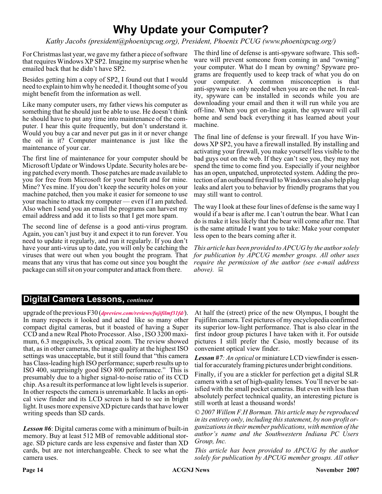## **Why Update your Computer?**

*Kathy Jacobs (president@phoenixpcug.org), President, Phoenix PCUG (www.phoenixpcug.org/)*

For Christmas last year, we gave my father a piece of software that requires Windows XP SP2. Imagine my surprise when he emailed back that he didn't have SP2.

Besides getting him a copy of SP2, I found out that I would need to explain to him why he needed it. I thought some of you might benefit from the information as well.

Like many computer users, my father views his computer as something that he should just be able to use. He doesn't think he should have to put any time into maintenance of the computer. I hear this quite frequently, but don't understand it. Would you buy a car and never put gas in it or never change the oil in it? Computer maintenance is just like the maintenance of your car.

The first line of maintenance for your computer should be Microsoft Update or Windows Update. Security holes are being patched every month. Those patches are made available to you for free from Microsoft for your benefit and for mine. Mine? Yes mine. If you don't keep the security holes on your machine patched, then you make it easier for someone to use your machine to attack my computer — even if I am patched. Also when I send you an email the programs can harvest my email address and add it to lists so that I get more spam.

The second line of defense is a good anti-virus program. Again, you can't just buy it and expect it to run forever. You need to update it regularly, and run it regularly. If you don't have your anti-virus up to date, you will only be catching the viruses that were out when you bought the program. That means that any virus that has come out since you bought the package can still sit on your computer and attack from there.

The third line of defense is anti-spyware software. This software will prevent someone from coming in and "owning" your computer. What do I mean by owning? Spyware programs are frequently used to keep track of what you do on your computer. A common misconception is that anti-spyware is only needed when you are on the net. In reality, spyware can be installed in seconds while you are downloading your email and then it will run while you are off-line. When you get on-line again, the spyware will call home and send back everything it has learned about your machine.

The final line of defense is your firewall. If you have Windows XP SP2, you have a firewall installed. By installing and activating your firewall, you make yourself less visible to the bad guys out on the web. If they can't see you, they may not spend the time to come find you. Especially if your neighbor has an open, unpatched, unprotected system. Adding the protection of an outbound firewall to Windows can also help plug leaks and alert you to behavior by friendly programs that you may still want to control.

The way I look at these four lines of defense is the same way I would if a bear is after me. I can't outrun the bear. What I can do is make it less likely that the bear will come after me. That is the same attitude I want you to take: Make your computer less open to the bears coming after it.

*This article has been provided to APCUG by the author solely for publication by APCUG member groups. All other uses require the permission of the author (see e-mail address* above).  $\Box$ 

## **Digital Camera Lessons,** *continued*

upgrade of the previous F30 (*[dpreview.com/reviews/fujifilmf31fd/](http://www.dpreview.com/reviews/fujifilmf31fd/)*). In many respects it looked and acted like so many other compact digital cameras, but it boasted of having a Super CCD and a new Real Photo Processor. Also , ISO 3200 maximum, 6.3 megapixels, 3x optical zoom. The review showed that, as in other cameras, the image quality at the highest ISO settings was unacceptable, but it still found that "this camera has Class-leading high ISO performance; superb results up to ISO 400, surprisingly good ISO 800 performance." This is presumably due to a higher signal-to-noise ratio of its CCD chip. As a result its performance at low light levels is superior. In other respects the camera is unremarkable. It lacks an optical view finder and its LCD screen is hard to see in bright light. It uses more expensive XD picture cards that have lower writing speeds than SD cards.

*Lesson #6*: Digital cameras come with a minimum of built-in memory. Buy at least 512 MB of removable additional storage. SD picture cards are less expensive and faster than XD cards, but are not interchangeable. Check to see what the camera uses.

At half the (street) price of the new Olympus, I bought the Fujifilm camera. Test pictures of my encyclopedia confirmed its superior low-light performance. That is also clear in the first indoor group pictures I have taken with it. For outside pictures I still prefer the Casio, mostly because of its convenient optical view finder.

*Lesson #7: An optical* or miniature LCD viewfinder is essential for accurately framing pictures under bright conditions.

Finally, if you are a stickler for perfection get a digital SLR camera with a set of high-quality lenses. You'll never be satisfied with the small pocket cameras. But even with less than absolutely perfect technical quality, an interesting picture is still worth at least a thousand words!

*© 2007 Willem F.H Borman. This article may be reproduced in its entirety only, including this statement, by non-profit organizations in their member publications, with mention of the author's name and the Southwestern Indiana PC Users Group, Inc.*

*This article has been provided to APCUG by the author solely for publication by APCUG member groups. All other*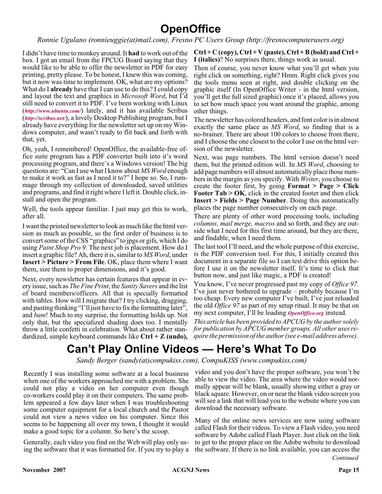## **OpenOffice**

*Ronnie Ugulano (ronnieuggie(at)mail.com), Fresno PC Users Group (http://fresnocomputerusers.org)*

I didn't have time to monkey around. It **had** to work out of the box. I got an email from the FPCUG Board saying that they would like to be able to offer the newsletter in PDF for easy printing, pretty please. To be honest, I knew this was coming, but it now was time to implement. OK, what are my options? What do I **already** have that I can use to do this? I could copy and layout the text and graphics in *Microsoft Word*, but I'd still need to convert it to PDF. I've been working with Linux (*<http://www.ubuntu.com/>*) lately, and it has available Scribus (*<http://scribus.net/>*), a lovely Desktop Publishing program, but I already have everything for the newsletter set up on my Windows computer, and wasn't ready to flit back and forth with that, yet.

Oh, yeah, I remembered! OpenOffice, the available-free office suite program has a PDF converter built into it's word processing program, and there's a Windows version! The big questions are: "Can I use what I know about *MS Word* enough to make it work as fast as I need it to?" I hope so. So, I rummage through my collection of downloaded, saved utilities and programs, and find it right where I left it. Double click, install and open the program.

Well, the tools appear familiar. I just may get this to work, after all.

I want the printed newsletter to look as much like the html version as much as possible, so the first order of business is to convert some of the CSS "graphics" to jpgs or gifs, which I do using *Paint Shop Pro 9*. The next job is placement. How do I insert a graphic file? Ah, there it is, similar to *MS Word*, under **Insert > Picture > From File**. OK, place them where I want them, size them to proper dimensions, and it's good.

Next, every newsletter has certain features that appear in every issue, such as *The Fine Print*, the *Sanity Savers* and the list of board members/officers. All that is specially formatted with tables. How will I migrate that? I try clicking, dragging, and pasting thinking "I'll just have to fix the formatting later", and *bam*! Much to my surprise, the formatting holds up. Not only that, but the specialized shading does too. I mentally throw a little confetti in celebration. What about rather standardized, simple keyboard commands like **Ctrl + Z (undo),**

#### **Ctrl + C (copy), Ctrl + V (paste), Ctrl + B (bold) and Ctrl + I (italics)**? No surprises there, things work as usual.

Then of course, you never know what you'll get when you right click on something, right? Hmm. Right click gives you the tools menu seen at right, and double clicking on the graphic itself (In OpenOffice Writer - in the html version, you'll get the full sized graphic) once it's placed, allows you to set how much space you want around the graphic, among other things.

The newsletter has colored headers, and font color is in almost exactly the same place as *MS Word*, so finding that is a no-brainer. There are about 100 colors to choose from there, and I choose the one closest to the color I use on the html version of the newsletter.

Next, was page numbers. The html version doesn't need them, but the printed edition will. In *MS Word*, choosing to add page numbers will almost automatically place those numbers in the margin as you specify. With *Writer*, you choose to create the footer first, by going **Format > Page > Click Footer Tab > OK**, click in the created footer and then click **Insert > Fields > Page Number**. Doing this automatically places the page number consecutively on each page.

There are plenty of other word processing tools, including *columns, mail merge, macros* and so forth, and they are outside what I need for this first time around, but they are there, and findable, when I need them.

The last tool I'll need, and the whole purpose of this exercise, is the PDF conversion tool. For this, I initially created this document in a separate file so I can test drive this option before I use it on the newsletter itself. It's time to click that button now, and just like magic, a PDF is created!

You know, I've never progressed past my copy of *Office 97*. I've just never bothered to upgrade – probably because I'm too cheap. Every new computer I've built, I've just reloaded the old *Office 97* as part of my setup ritual. It may be that on my next computer, I'll be loading *[OpenOffice.org](http://www.OpenOffice.org)* instead.

*This article has been provided to APCUG by the author solely for publication by APCUG member groups. All other uses require the permission of the author (see e-mail address above).*

## **Can't Play Online Videos — Here's What To Do**

*Sandy Berger (sandy(at)compukiss.com), CompuKISS (www.compukiss.com)*

Recently I was installing some software at a local business when one of the workers approached me with a problem. She could not play a video on her computer even though co-workers could play it on their computers. The same problem appeared a few days later when I was troubleshooting some computer equipment for a local church and the Pastor could not view a news video on his computer. Since this seems to be happening all over my town, I thought it would make a good topic for a column. So here's the scoop.

Generally, each video you find on the Web will play only using the software that it was formatted for. If you try to play a video and you don't have the proper software, you won't be able to view the video. The area where the video would normally appear will be blank, usually showing either a gray or black square. However, on or near the blank video screen you will see a link that will lead you to the website where you can download the necessary software.

*Continued* Many of the online news services are now using software called Flash for their videos. To view a Flash video, you need software by Adobe called Flash Player. Just click on the link to get to the proper place on the Adobe website to download the software. If there is no link available, you can access the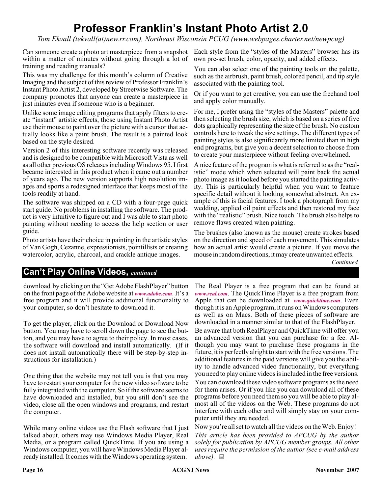## **Professor Franklin's Instant Photo Artist 2.0**

*Tom Ekvall (tekvall(at)new.rr.com), Northeast Wisconsin PCUG (www.webpages.charter.net/newpcug)*

Can someone create a photo art masterpiece from a snapshot Each style from the "styles of the Masters" browser has its within a matter of minutes without going through a lot of training and reading manuals?

This was my challenge for this month's column of Creative Imaging and the subject of this review of Professor Franklin's Instant Photo Artist 2, developed by Streetwise Software. The company promotes that anyone can create a masterpiece in just minutes even if someone who is a beginner.

Unlike some image editing programs that apply filters to create "instant" artistic effects, those using Instant Photo Artist use their mouse to paint over the picture with a cursor that actually looks like a paint brush. The result is a painted look based on the style desired.

Version 2 of this interesting software recently was released and is designed to be compatible with Microsoft Vista as well as all other previous OS releases including Windows 95. I first became interested in this product when it came out a number of years ago. The new version supports high resolution images and sports a redesigned interface that keeps most of the tools readily at hand.

The software was shipped on a CD with a four-page quick start guide. No problems in installing the software. The product is very intuitive to figure out and I was able to start photo painting without needing to access the help section or user guide.

Photo artists have their choice in painting in the artistic styles of Van Gogh, Cezanne, expressionists, pointillists or creating watercolor, acrylic, charcoal, and crackle antique images.

own pre-set brush, color, opacity, and added effects.

You can also select one of the painting tools on the palette, such as the airbrush, paint brush, colored pencil, and tip style associated with the painting tool.

Or if you want to get creative, you can use the freehand tool and apply color manually.

For me, I prefer using the "styles of the Masters" palette and then selecting the brush size, which is based on a series of five dots graphically representing the size of the brush. No custom controls here to tweak the size settings. The different types of painting styles is also significantly more limited than in high end programs, but give you a decent selection to choose from to create your masterpiece without feeling overwhelmed.

A nice feature of the program is what is referred to as the "realistic" mode which when selected will paint back the actual photo image as it looked before you started the painting activity. This is particularly helpful when you want to feature specific detail without it looking somewhat abstract. An example of this is facial features. I took a photograph from my wedding, applied oil paint effects and then restored my face with the "realistic" brush. Nice touch. The brush also helps to remove flaws created when painting.

The brushes (also known as the mouse) create strokes based on the direction and speed of each movement. This simulates how an actual artist would create a picture. If you move the mouse in random directions, it may create unwanted effects.

*Continued*

## **Can't Play Online Videos,** *continued*

download by clicking on the "Get Adobe FlashPlayer" button on the front page of the Adobe website at *[www.adobe.com](http://www.adobe.com)*. It's a free program and it will provide additional functionality to your computer, so don't hesitate to download it.

To get the player, click on the Download or Download Now button. You may have to scroll down the page to see the button, and you may have to agree to their policy. In most cases, the software will download and install automatically. (If it does not install automatically there will be step-by-step instructions for installation.)

One thing that the website may not tell you is that you may have to restart your computer for the new video software to be fully integrated with the computer. So if the software seems to have downloaded and installed, but you still don't see the video, close all the open windows and programs, and restart the computer.

While many online videos use the Flash software that I just talked about, others may use Windows Media Player, Real Media, or a program called QuickTime. If you are using a Windows computer, you will have Windows Media Player already installed. It comes with the Windows operating system.

The Real Player is a free program that can be found at *[www.real.com](http://www.real.com)*. The QuickTime Player is a free program from Apple that can be downloaded at .*[www.quicktime.com](http://www.quicktime.com)*. Even though it is an Apple program, it runs on Windows computers as well as on Macs. Both of these pieces of software are downloaded in a manner similar to that of the FlashPlayer.

Be aware that both RealPlayer and QuickTime will offer you an advanced version that you can purchase for a fee. Although you may want to purchase these programs in the future, it is perfectly alright to start with the free versions. The additional features in the paid versions will give you the ability to handle advanced video functionality, but everything you need to play online videos is included in the free versions.

You can download these video software programs as the need for them arises. Or if you like you can download all of these programs before you need them so you will be able to play almost all of the videos on the Web. These programs do not interfere with each other and will simply stay on your computer until they are needed.

Now you're all set to watch all the videos on the Web. Enjoy! *This article has been provided to APCUG by the author solely for publication by APCUG member groups. All other uses require the permission of the author (see e-mail address above).*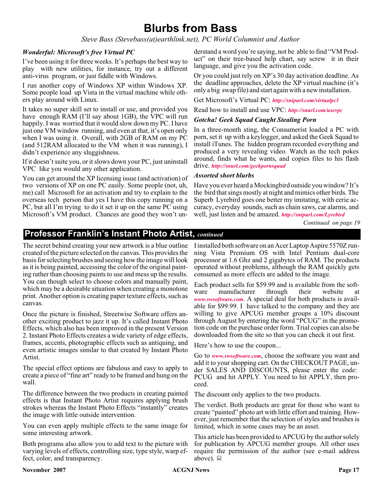## **Blurbs from Bass**

*Steve Bass (Stevebass(at)earthlink.net), PC World Columnist and Author*

### *Wonderful: Microsoft's free Virtual PC*

I've been using it for three weeks. It's perhaps the best way to play with new utilities, for instance, try out a different anti-virus program, or just fiddle with Windows.

I run another copy of Windows XP within Windows XP. Some people load up Vista in the virtual machine while others play around with Linux.

It takes no super skill set to install or use, and provided you have enough RAM (I'll say about 1GB), the VPC will run happily. I was worried that it would slow down my PC. I have just one VM window running, and even at that, it's open only when I was using it. Overall, with 2GB of RAM on my PC (and 512RAM allocated to the VM when it was running), I didn't experience any sluggishness.

If it doesn't suite you, or it slows down your PC, just uninstall VPC like you would any other application.

You can get around the XP licensing issue (and activation) of two versions of XP on one PC easily. Some people (not, uh, me) call Microsoft for an activation and try to explain to the overseas tech person that yes I have this copy running on a PC, but all I'm trying to do it set it up on the same PC using Microsoft's VM product. Chances are good they won't un-

derstand a word you're saying, not be able to find "VM Product" on their tree-based help chart, say screw it in their language, and give you the activation code.

Or you could just rely on XP's 30 day activation deadline. As the deadline approaches, delete the XP virtual machine (it's only a big swap file) and start again with a new installation.

Get Microsoft's Virtual PC: *<http://snipurl.com/virtualpc1>*

Read how to install and use VPC: *<http://snurl.com/usevpc>*

#### *Gotcha! Geek Squad Caught Stealing Porn*

In a three-month sting, the Consumerist loaded a PC with porn, set it up with a keylogger, and asked the Geek Squad to install iTunes. The hidden program recorded everything and produced a very revealing video. Watch as the tech pokes around, finds what he wants, and copies files to his flash drive. *<http://snurl.com/geekpornsquad>*

#### *Assorted short blurbs*

Have you ever heard a Mockingbird outside you window? It's the bird that sings mostly at night and mimics other birds. The Superb Lyrebird goes one better my imitating, with eerie accuracy, everyday sounds, such as chain saws, car alarms, and well, just listen and be amazed. *<http://snipurl.com/Lyrebird>*

*Continued on page 19*

## **Professor Franklin's Instant Photo Artist,** *continued*

The secret behind creating your new artwork is a blue outline created of the picture selected on the canvas. This provides the basis for selecting brushes and seeing how the image will look as it is being painted, accessing the color of the original painting rather than choosing paints to use and mess up the results. You can though select to choose colors and manually paint, which may be a desirable situation when creating a monotone print. Another option is creating paper texture effects, such as canvas.

Once the picture is finished, Streetwise Software offers another exciting product to jazz it up. It's called Instant Photo Effects, which also has been improved in the present Version 2. Instant Photo Effects creates a wide variety of edge effects, frames, accents, photographic effects such as antiquing, and even artistic images similar to that created by Instant Photo Artist.

The special effect options are fabulous and easy to apply to create a piece of "fine art" ready to be framed and hung on the wall.

The difference between the two products in creating painted effects is that Instant Photo Artist requires applying brush strokes whereas the Instant Photo Effects "instantly" creates the image with little outside intervention.

You can even apply multiple effects to the same image for some interesting artwork.

Both programs also allow you to add text to the picture with varying levels of effects, controlling size, type style, warp effect, color, and transparency.

I installed both software on an Acer Laptop Aspire 5570Z running Vista Premium OS with Intel Pentium dual-core processor at 1.6 Ghz and 2 gigabytes of RAM. The products operated without problems, although the RAM quickly gets consumed as more effects are added to the image.

Each product sells for \$59.99 and is available from the software manufacturer through their website at *[www.swsoftware.com](http://www.swsoftware.com)*. A special deal for both products is available for \$99.99. I have talked to the company and they are willing to give APCUG member groups a  $10\%$  discount through August by entering the word "PCUG" in the promotion code on the purchase order form. Trial copies can also be downloaded from the site so that you can check it out first.

Here's how to use the coupon...

Go to *[www.swsoftware.com](http://www.swsoftware.com)*, choose the software you want and add it to your shopping cart. On the CHECKOUT PAGE, under SALES AND DISCOUNTS, please enter the code: PCUG and hit APPLY. You need to hit APPLY, then proceed.

The discount only applies to the two products.

The verdict. Both products are great for those who want to create "painted" photo art with little effort and training. However, just remember that the selection of styles and brushes is limited, which in some cases may be an asset.

This article has been provided to APCUG by the author solely for publication by APCUG member groups. All other uses require the permission of the author (see e-mail address above).  $\Box$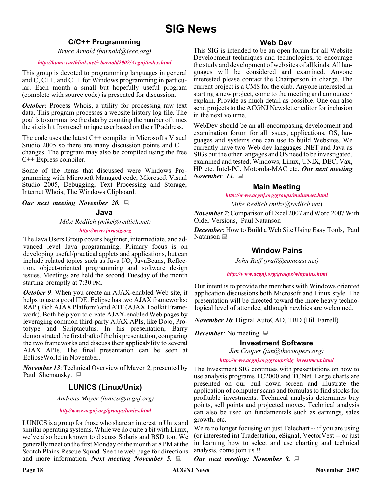## **SIG News**

## **C/C++ Programming**

*Bruce Arnold (barnold@ieee.org)*

#### *<http://home.earthlink.net/~barnold2002/Acgnj/index.html>*

This group is devoted to programming languages in general and C, C++, and C++ for Windows programming in particular. Each month a small but hopefully useful program (complete with source code) is presented for discussion.

*October:* Process Whois, a utility for processing raw text data. This program processes a website history log file. The goal is to summarize the data by counting the number of times the site is hit from each unique user based on their IP address.

The code uses the latest  $C++$  compiler in Microsoft's Visual Studio 2005 so there are many discussion points and C++ changes. The program may also be compiled using the free C++ Express compiler.

Some of the items that discussed were Windows Programming with Microsoft Managed code, Microsoft Visual Studio 2005, Debugging, Text Processing and Storage, Internet Whois, The Windows Clipboard.

*Our next meeting November 20.*

#### **Java**

*Mike Redlich (mike@redlich.net)*

#### *<http://www.javasig.org>*

The Java Users Group covers beginner, intermediate, and advanced level Java programming. Primary focus is on developing useful/practical applets and applications, but can include related topics such as Java I/O, JavaBeans, Reflection, object-oriented programming and software design issues. Meetings are held the second Tuesday of the month starting promptly at 7:30 PM.

*October 9:* When you create an AJAX-enabled Web site, it helps to use a good IDE. Eclipse has two AJAX frameworks: RAP (Rich AJAX Platform) and ATF (AJAX Toolkit Framework). Both help you to create AJAX-enabled Web pages by leveraging common third-party AJAX APIs, like Dojo, Prototype and Scriptaculus. In his presentation, Barry demonstrated the first draft of the his presentation, comparing the two frameworks and discuss their applicability to several AJAX APIs. The final presentation can be seen at EclipseWorld in November.

*November 13*: Technical Overview of Maven 2, presented by Paul Shemansky.  $\Box$ 

## **LUNICS (Linux/Unix)**

*Andreas Meyer (lunics@acgnj.org)*

#### *<http//www.acgnj.org/groups/lunics.html>*

LUNICS is a group for those who share an interest in Unix and similar operating systems. While we do quite a bit with Linux, we've also been known to discuss Solaris and BSD too. We generally meet on the first Monday of the month at 8 PM at the Scotch Plains Rescue Squad. See the web page for directions and more information. *Next meeting November 5.*

### **Web Dev**

This SIG is intended to be an open forum for all Website Development techniques and technologies, to encourage the study and development of web sites of all kinds. All languages will be considered and examined. Anyone interested please contact the Chairperson in charge. The current project is a CMS for the club. Anyone interested in starting a new project, come to the meeting and announce / explain. Provide as much detail as possible. One can also send projects to the ACGNJ Newsletter editor for inclusion in the next volume.

WebDev should be an all-encompasing development and examination forum for all issues, applications, OS, languages and systems one can use to build Websites. We currently have two Web dev languages .NET and Java as SIGs but the other langages and OS need to be investigated, examined and tested; Windows, Linux, UNIX, DEC, Vax, HP etc. Intel-PC, Motorola-MAC etc. *Our next meeting November 14.*

## **Main Meeting**

*<http://www.acgnj.org/groups/mainmeet.html>*

*Mike Redlich (mike@redlich.net*)

*November 7*: Comparison of Excel 2007 and Word 2007 With Older Versions, Paul Natanson

*December*: How to Build a Web Site Using Easy Tools, Paul Natanson ■

## **Window Pains**

*John Raff (jraff@comcast.net)*

*<http://www.acgnj.org/groups/winpains.html>*

Our intent is to provide the members with Windows oriented application discussions both Microsoft and Linux style. The presentation will be directed toward the more heavy technological level of attendee, although newbies are welcomed.

*November 16*: Digital AutoCAD, TBD (Bill Farrell)

*December*: No meeting  $\Box$ 

### **Investment Software**

*Jim Cooper (jim@thecoopers.org)*

*[http://www.acgnj.org/groups/sig\\_investment.html](http://www.acgnj.org/groups/sig_investment.html)*

The Investment SIG continues with presentations on how to use analysis programs TC2000 and TCNet. Large charts are presented on our pull down screen and illustrate the application of computer scans and formulas to find stocks for profitable investments. Technical analysis determines buy points, sell points and projected moves. Technical analysis can also be used on fundamentals such as earnings, sales growth, etc.

We're no longer focusing on just Telechart -- if you are using (or interested in) Tradestation, eSignal, VectorVest -- or just in learning how to select and use charting and technical analysis, come join us !!

*Our next meeting: November 8.*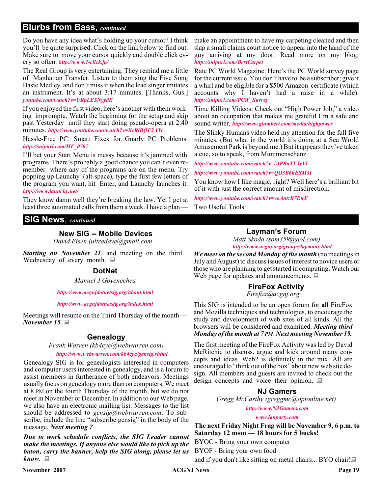## **Blurbs from Bass,** *continued*

Do you have any idea what's holding up your cursor? I think you'll be quite surprised. Click on the link below to find out. Make sure to move your cursor quickly and double click every so often. *<http://www.1-click.jp/>*

The Real Group is very entertaining. They remind me a little of Manhattan Transfer. Listen to them sing the Five Song Basie Medley and don't miss it when the lead singer imitates an instrument. It's at about 3:17 minutes. [Thanks, Gus.] *[youtube.com/watch?v=URpLESNyydE](http://www.youtube.com/watch?v=URpLESNyydE)*

If you enjoyed the first video, here's another with them working impromptu. Watch the beginning for the setup and skip past Yesterday until they start doing pseudo-opera at 2:40 minutes. *<http://www.youtube.com/watch?v=XcRlBQF2AYc>*

Hassle-Free PC: Smart Fixes for Gnarly PC Problems: *[http://snipurl.com/HF\\_0707](http://snipurl.com/HF_0707)*

I'll bet your Start Menu is messy because it's jammed with programs. There's probably a good chance you can't even remember where any of the programs are on the menu. Try popping up Launchy (alt-space), type the first few letters of the program you want, hit Enter, and Launchy launches it. *<http://www.launchy.net/>*

They know damn well they're breaking the law. Yet I get at least three automated calls from them a week. I have a plan —

## **SIG News**, *continued*

## **New SIG -- Mobile Devices**

*David Eisen (ultradave@gmail.com*

*Starting on November 21*, and meeting on the third Wednesday of every month.  $\Box$ 

### **DotNet**

*Manuel J Goyenechea*

*<http://www.acgnjdotnetsig.org/about.html>*

#### *<http://www.acgnjdotnetsig.org/index.html>*

Meetings will resume on the Third Thursday of the month — *November 15*.

## **Genealogy**

*Frank Warren (kb4cyc@webwarren.com)*

#### *<http://www.webwarren.com/kb4cyc/gensig.shtml>*

Genealogy SIG is for genealogists interested in computers and computer users interested in genealogy, and is a forum to assist members in furtherance of both endeavors. Meetings usually focus on genealogy more than on computers. We meet at 8 PM on the fourth Thursday of the month, but we do not meet in November or December. In addition to our Web page, we also have an electronic mailing list. Messages to the list should be addressed to *gensig@webwarren.com*. To subscribe, include the line "subscribe gensig" in the body of the message. *Next meeting ?*

*Due to work schedule conflicts, the SIG Leader cannot make the meetings. If anyone else would like to pick up the baton, carry the banner, help the SIG along, please let us know.*

make an appointment to have my carpeting cleaned and then slap a small claims court notice to appear into the hand of the guy arriving at my door. Read more on my blog: *<http://snipurl.com/BestCarpet>*

Rate PC World Magazine: Here's the PC World survey page for the current issue. You don't have to be a subscriber; give it a whirl and be eligible for a \$500 Amazon certificate (which accounts why I haven't had a raise in a while). *[http://snipurl.com/PCW\\_Survey](http://snipurl.com/PCW_Survey)*

Time Killing Videos: Check out "High Power Job," a video about an occupation that makes me grateful I'm a safe and sound writer. *<http://www.glumbert.com/media/highpower>*

The Slinky Humans video held my attention for the full five minutes. (But what in the world it's doing at a Sea World Amusement Park is beyond me.) But it appears they've taken a cue, so to speak, from Mummenschanz.

*<http://www.youtube.com/watch?v=iAPBaXLJvYI>*

*<http://www.youtube.com/watch?v=QO3B6hESM3I>*

You know how I like magic, right? Well here's a brilliant bit of it with just the correct amount of misdirection.

*<http://www.youtube.com/watch?v=voAntzB7EwE>* Two Useful Tools

## **Layman's Forum**

*Matt Skoda (som359@aol.com) <http://www.acgnj.org/groups/laymans.html>*

*We meet on the second Monday of the month* (no meetings in July and August) to discuss issues of interest to novice users or those who are planning to get started in computing. Watch our Web page for updates and announcements.  $\Box$ 

## **FireFox Activity**

*Firefox@acgnj.org*

This SIG is intended to be an open forum for **all** FireFox and Mozilla techniques and technologies, to encourage the study and development of web sites of all kinds. All the browsers will be considered and examined. *Meeting third Monday of the month at 7 PM*. *Next meeting November 19.*

The first meeting of the FireFox Activity was led by David McRitchie to discuss, argue and kick around many concepts and ideas. Web2 is definitely in the mix. All are encouraged to "think out of the box" about new web site design. All members and guests are invited to check out the design concepts and voice their opinion.  $\Box$ 

## **NJ Gamers**

*Gregg McCarthy (greggmc@optonline.net)*

*<http://www.NJGamers.com>*

*[www.lanparty.com](http://www.lanparty.com)*

**The next Friday Night Frag will be November 9, 6 p.m. to Saturday 12 noon — 18 hours for 5 bucks!**

BYOC - Bring your own computer

BYOF - Bring your own food.

and if you don't like sitting on metal chairs... BYO chair!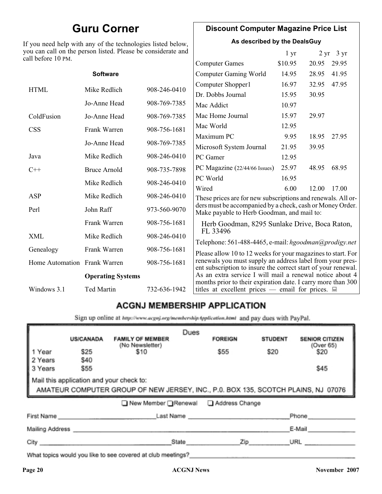## **Guru Corner**

If you need help with any of the technologies listed below, you can call on the person listed. Please be considerate and ca

## **Discount Computer Magazine Price List**

**As described by the DealsGuy**

| ou can call on the person listed. Please be considerate and<br>ll before 10 PM. |                                                                              |                                                                              | 1 <sub>yr</sub> |                               | $2 \text{ yr}$ 3 yr                                                                                                                                                                                                                                                                                                                                                                                                                                                                                                                                                                                                                                                  |
|---------------------------------------------------------------------------------|------------------------------------------------------------------------------|------------------------------------------------------------------------------|-----------------|-------------------------------|----------------------------------------------------------------------------------------------------------------------------------------------------------------------------------------------------------------------------------------------------------------------------------------------------------------------------------------------------------------------------------------------------------------------------------------------------------------------------------------------------------------------------------------------------------------------------------------------------------------------------------------------------------------------|
|                                                                                 |                                                                              | <b>Computer Games</b>                                                        | \$10.95         | 20.95                         | 29.95                                                                                                                                                                                                                                                                                                                                                                                                                                                                                                                                                                                                                                                                |
| <b>Software</b>                                                                 |                                                                              | Computer Gaming World                                                        | 14.95           | 28.95                         | 41.95                                                                                                                                                                                                                                                                                                                                                                                                                                                                                                                                                                                                                                                                |
|                                                                                 |                                                                              | Computer Shopper1                                                            | 16.97           | 32.95                         | 47.95                                                                                                                                                                                                                                                                                                                                                                                                                                                                                                                                                                                                                                                                |
|                                                                                 |                                                                              | Dr. Dobbs Journal                                                            | 15.95           | 30.95                         |                                                                                                                                                                                                                                                                                                                                                                                                                                                                                                                                                                                                                                                                      |
| Jo-Anne Head                                                                    | 908-769-7385                                                                 | Mac Addict                                                                   | 10.97           |                               |                                                                                                                                                                                                                                                                                                                                                                                                                                                                                                                                                                                                                                                                      |
| Jo-Anne Head                                                                    | 908-769-7385                                                                 | Mac Home Journal                                                             | 15.97           | 29.97                         |                                                                                                                                                                                                                                                                                                                                                                                                                                                                                                                                                                                                                                                                      |
|                                                                                 |                                                                              | Mac World                                                                    | 12.95           |                               |                                                                                                                                                                                                                                                                                                                                                                                                                                                                                                                                                                                                                                                                      |
|                                                                                 |                                                                              | Maximum PC                                                                   | 9.95            | 18.95                         | 27.95                                                                                                                                                                                                                                                                                                                                                                                                                                                                                                                                                                                                                                                                |
|                                                                                 |                                                                              | Microsoft System Journal                                                     | 21.95           | 39.95                         |                                                                                                                                                                                                                                                                                                                                                                                                                                                                                                                                                                                                                                                                      |
| Mike Redlich                                                                    | 908-246-0410                                                                 | PC Gamer                                                                     | 12.95           |                               |                                                                                                                                                                                                                                                                                                                                                                                                                                                                                                                                                                                                                                                                      |
| <b>Bruce Arnold</b>                                                             | 908-735-7898                                                                 |                                                                              | 25.97           | 48.95                         | 68.95                                                                                                                                                                                                                                                                                                                                                                                                                                                                                                                                                                                                                                                                |
|                                                                                 |                                                                              | PC World                                                                     | 16.95           |                               |                                                                                                                                                                                                                                                                                                                                                                                                                                                                                                                                                                                                                                                                      |
|                                                                                 |                                                                              | Wired                                                                        | 6.00            | 12.00                         | 17.00                                                                                                                                                                                                                                                                                                                                                                                                                                                                                                                                                                                                                                                                |
|                                                                                 |                                                                              |                                                                              |                 |                               |                                                                                                                                                                                                                                                                                                                                                                                                                                                                                                                                                                                                                                                                      |
| John Raff                                                                       | 973-560-9070                                                                 |                                                                              |                 |                               |                                                                                                                                                                                                                                                                                                                                                                                                                                                                                                                                                                                                                                                                      |
| Frank Warren                                                                    | 908-756-1681                                                                 |                                                                              |                 |                               |                                                                                                                                                                                                                                                                                                                                                                                                                                                                                                                                                                                                                                                                      |
| Mike Redlich                                                                    | 908-246-0410                                                                 |                                                                              |                 |                               |                                                                                                                                                                                                                                                                                                                                                                                                                                                                                                                                                                                                                                                                      |
| Frank Warren                                                                    | 908-756-1681                                                                 |                                                                              |                 |                               |                                                                                                                                                                                                                                                                                                                                                                                                                                                                                                                                                                                                                                                                      |
| Home Automation Frank Warren                                                    | 908-756-1681                                                                 |                                                                              |                 |                               |                                                                                                                                                                                                                                                                                                                                                                                                                                                                                                                                                                                                                                                                      |
| <b>Operating Systems</b>                                                        |                                                                              |                                                                              |                 |                               |                                                                                                                                                                                                                                                                                                                                                                                                                                                                                                                                                                                                                                                                      |
| <b>Ted Martin</b>                                                               | 732-636-1942                                                                 |                                                                              |                 |                               |                                                                                                                                                                                                                                                                                                                                                                                                                                                                                                                                                                                                                                                                      |
|                                                                                 | Mike Redlich<br>Frank Warren<br>Jo-Anne Head<br>Mike Redlich<br>Mike Redlich | 908-246-0410<br>908-756-1681<br>908-769-7385<br>908-246-0410<br>908-246-0410 | FL 33496        | PC Magazine (22/44/66 Issues) | These prices are for new subscriptions and renewals. All or-<br>ders must be accompanied by a check, cash or Money Order.<br>Make payable to Herb Goodman, and mail to:<br>Herb Goodman, 8295 Sunlake Drive, Boca Raton,<br>Telephone: 561-488-4465, e-mail: hgoodman@prodigy.net<br>Please allow 10 to 12 weeks for your magazines to start. For<br>renewals you must supply an address label from your pres-<br>ent subscription to insure the correct start of your renewal.<br>As an extra service I will mail a renewal notice about 4<br>months prior to their expiration date. I carry more than 300<br>titles at excellent prices — email for prices. $\Box$ |

## **ACGNJ MEMBERSHIP APPLICATION**

Sign up online at http://www.acgnj.org/membershipApplication.html and pay dues with PayPal.

|                                                                                                                               | <b>US/CANADA</b> | <b>FAMILY OF MEMBER</b>                                                                                                                                                                                                        | Dues  | <b>FOREIGN</b> | <b>STUDENT</b> | <b>SENIOR CITIZEN</b> |
|-------------------------------------------------------------------------------------------------------------------------------|------------------|--------------------------------------------------------------------------------------------------------------------------------------------------------------------------------------------------------------------------------|-------|----------------|----------------|-----------------------|
| 1 Year                                                                                                                        | \$25             | (No Newsletter)<br>\$10                                                                                                                                                                                                        |       | \$55           | \$20           | (Over 65)<br>\$20     |
| 2 Years<br>3 Years                                                                                                            | \$40<br>\$55     |                                                                                                                                                                                                                                |       |                |                | \$45                  |
| Mail this application and your check to:<br>AMATEUR COMPUTER GROUP OF NEW JERSEY, INC., P.0. BOX 135, SCOTCH PLAINS, NJ 07076 |                  |                                                                                                                                                                                                                                |       |                |                |                       |
|                                                                                                                               |                  | ■ New Member Renewal ■ Address Change                                                                                                                                                                                          |       |                |                |                       |
| First Name                                                                                                                    |                  |                                                                                                                                                                                                                                |       | Last Name      |                | Phone                 |
| Mailing Address _                                                                                                             |                  |                                                                                                                                                                                                                                |       |                |                | E-Mail                |
| City <b>Communication</b>                                                                                                     |                  |                                                                                                                                                                                                                                | State | Zip            |                | URL                   |
|                                                                                                                               |                  | 19 and 19 and 19 and 19 and 19 and 19 and 19 and 19 and 19 and 19 and 19 and 19 and 19 and 19 and 19 and 19 and 19 and 19 and 19 and 19 and 19 and 19 and 19 and 19 and 19 and 19 and 19 and 19 and 19 and 19 and 19 and 19 an |       |                |                |                       |

What topics would you like to see covered at club meetings?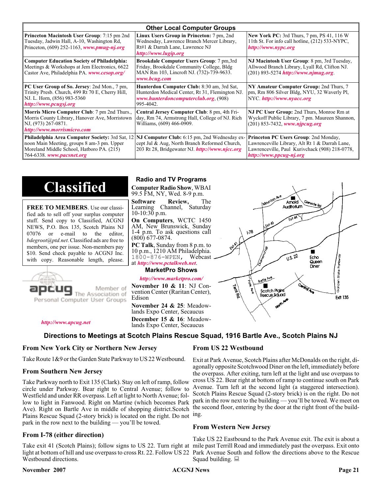| <b>Other Local Computer Groups</b>                                                                                                                         |                                                                                                                                                                                                        |                                                                                                                                                                             |  |  |
|------------------------------------------------------------------------------------------------------------------------------------------------------------|--------------------------------------------------------------------------------------------------------------------------------------------------------------------------------------------------------|-----------------------------------------------------------------------------------------------------------------------------------------------------------------------------|--|--|
| <b>Princeton Macintosh User Group:</b> 7:15 pm 2nd<br>Tuesday, Jadwin Hall, A-10, Washington Rd,<br>Princeton, $(609)$ 252-1163, www.pmug-nj.org           | Linux Users Group in Princeton: 7 pm, 2nd<br>Wednesday, Lawrence Branch Mercer Library,<br>Rt#1 & Darrah Lane, Lawrence NJ<br>http://www.lugip.org                                                     | <b>New York PC:</b> 3rd Thurs, 7 pm, PS 41, 116 W<br>11th St. For info call hotline, (212) 533-NYPC,<br>http://www.nypc.org                                                 |  |  |
| <b>Computer Education Society of Philadelphia:</b><br>Meetings & Workshops at Jem Electronics, 6622<br>Castor Ave, Philadelphia PA. www.cesop.org/         | <b>Brookdale Computer Users Group:</b> 7 pm, 3rd<br>Friday, Brookdale Community College, Bldg<br>MAN Rm 103, Lincroft NJ. (732)-739-9633.<br>www.bcug.com                                              | NJ Macintosh User Group: 8 pm, 3rd Tuesday,<br>Allwood Branch Library, Lyall Rd, Clifton NJ.<br>$(201)$ 893-5274 http://www.njmug.org.                                      |  |  |
| PC User Group of So. Jersey: 2nd Mon., 7 pm,<br>Trinity Presb. Church, 499 Rt 70 E, Cherry Hill,<br>NJ. L. Horn, (856) 983-5360<br>http://www.pcugsj.org   | Hunterdon Computer Club: 8:30 am, 3rd Sat,<br>Hunterdon Medical Center, Rt 31, Flemington NJ.<br>www.hunterdoncomputerclub.org (908)<br>995-4042.                                                      | NY Amateur Computer Group: 2nd Thurs, 7<br>pm, Rm 806 Silver Bldg, NYU, 32 Waverly Pl,<br>NYC.http://www.nyacc.org                                                          |  |  |
| <b>Morris Micro Computer Club:</b> 7 pm 2nd Thurs.,<br>Morris County Library, Hanover Ave, Morristown<br>NJ, (973) 267-0871.<br>http://www.morrismicro.com | Central Jersey Computer Club: 8 pm, 4th Fri-<br>day, Rm 74, Armstrong Hall, College of NJ. Rich<br>Williams, (609) 466-0909.                                                                           | NJ PC User Group: 2nd Thurs, Monroe Rm at<br>Wyckoff Public Library, 7 pm. Maureen Shannon,<br>$(201)$ 853-7432, www.njpcug.org                                             |  |  |
| noon Main Meeting, groups 8 am-3 pm. Upper<br>Moreland Middle School, Hatboro PA. (215)<br>764-6338. www.pacsnet.org                                       | <b>Philadelphia Area Computer Society: 3rd Sat, 12 NJ Computer Club: 6:15 pm, 2nd Wednesday ex-</b><br>cept Jul & Aug, North Branch Reformed Church,<br>203 Rt 28, Bridgewater NJ. http://www.njcc.org | <b>Princeton PC Users Group: 2nd Monday,</b><br>Lawrenceville Library, Alt Rt 1 & Darrah Lane,<br>Lawrenceville, Paul Kurivchack (908) 218-0778,<br>http://www.ppcug-nj.org |  |  |

## **Classified**

**FREE TO MEMBERS**. Use our classified ads to sell off your surplus computer stuff. Send copy to Classified, ACGNJ NEWS, P.O. Box 135, Scotch Plains NJ 07076 or e-mail to the editor, *bdegroot@ptd.net*. Classified ads are free to members, one per issue. Non-members pay \$10. Send check payable to ACGNJ Inc. with copy. Reasonable length, please.



Member of The Association of

*<http://www.apcug.net>*

### **Radio and TV Programs**

**Computer Radio Show**, WBAI 99.5 FM, NY, Wed. 8-9 p.m.

**Software Review,** The Learning Channel, Saturday 10-10:30 p.m.

**On Computers**, WCTC 1450 AM, New Brunswick, Sunday 1-4 p.m. To ask questions call (800) 677-0874.

**PC Talk**, Sunday from 8 p.m. to 10 p.m., 1210 AM Philadelphia. 1800-876-WPEN, Webcast at *<http://www.pctalkweb.net>*.

#### **MarketPro Shows**

#### *<http://www.marketpro.com/>*

**November 10 & 11**: NJ Convention Center (Raritan Center), Edison

**November 24 & 25**: Meadow-<br>lands Expo Center, Secaucus **December 15 & 16**: Meadow-<br>lands Expo Center, Secaucus

## **Directions to Meetings at Scotch Plains Rescue Squad, 1916 Bartle Ave., Scotch Plains NJ**

#### **From New York City or Northern New Jersey**

Take Route 1&9 or the Garden State Parkway to US 22 Westbound.

#### **From Southern New Jersey**

Take Parkway north to Exit 135 (Clark). Stay on left of ramp, follow circle under Parkway. Bear right to Central Avenue; follow to Westfield and under RR overpass. Left at light to North Avenue; follow to light in Fanwood. Right on Martine (which becomes Park Ave). Right on Bartle Ave in middle of shopping district.Scotch Plains Rescue Squad (2-story brick) is located on the right. Do not ing. park in the row next to the building — you'll be towed.

### **From I-78 (either direction)**

Take exit 41 (Scotch Plains); follow signs to US 22. Turn right at mile past Terrill Road and immediately past the overpass. Exit onto light at bottom of hill and use overpass to cross Rt. 22. Follow US 22 Park Avenue South and follow the directions above to the Rescue Westbound directions.

#### **November 2007 CONS Page 21 CONS Page 21 Page 21 Page 21**

#### **From US 22 Westbound**

Exit at Park Avenue, Scotch Plains after McDonalds on the right, diagonally opposite Scotchwood Diner on the left, immediately before the overpass. After exiting, turn left at the light and use overpass to cross US 22. Bear right at bottom of ramp to continue south on Park Avenue. Turn left at the second light (a staggered intersection). Scotch Plains Rescue Squad (2-story brick) is on the right. Do not park in the row next to the building — you'll be towed. We meet on the second floor, entering by the door at the right front of the build-

#### **From Western New Jersey**

Take US 22 Eastbound to the Park Avenue exit. The exit is about a Squad building.  $\Box$